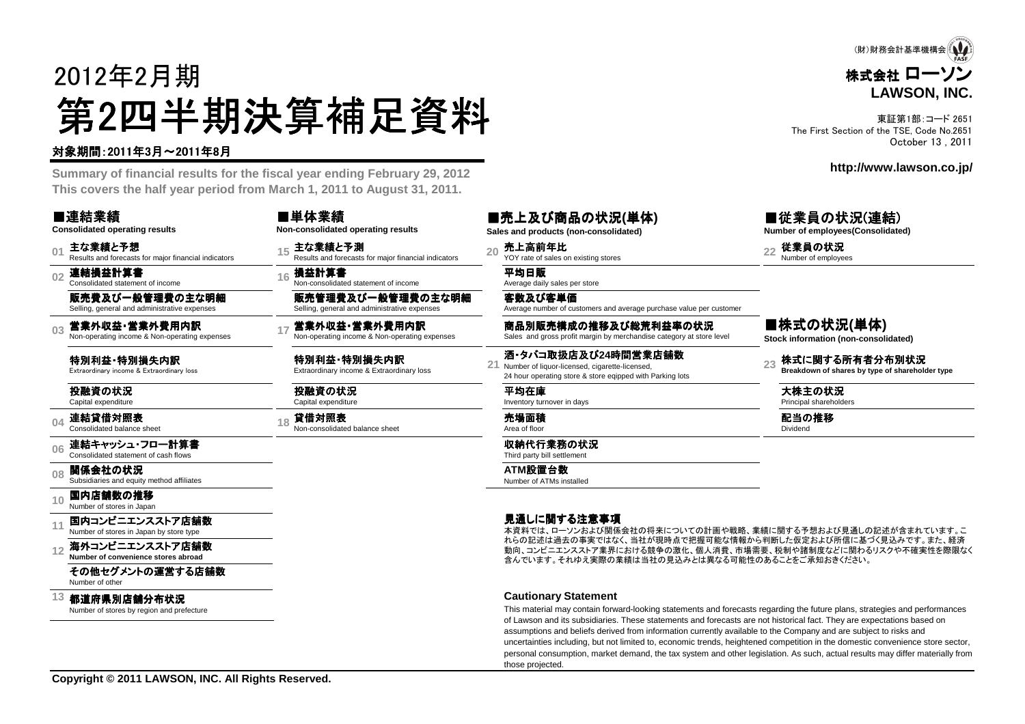# 2012年2月期第2四半期決算補足資料<br><del>"卿恩"的</del>

#### 対象期間:2011年3月~2011年8月

 **Summary of financial results for the fiscal year ending February 29, 2012This covers the half year period from March 1, 2011 to August 31, 2011.**

■単体業績

■連結業績**Consolidated operating results**

**01**主な業績と予想<br>Results and forecasts for major financial indicators

**02**連結損益計算書 Consolidated statement of income

販売費及び一般管理費の主な明細Selling, general and administrative expenses

**03**営業外収益・営業外費用内訳<br>Non-operating income & Non-operating expenses

特別利益・特別損失内訳<br><sub>Extraordinary income & Extraordinar</sub> Extraordinary income & Extraordinary loss

投融資の状況Capital expenditure

**04**連結貸借対照表 Consolidated balance sheet

**06**連結キャッシュ・フロー計算書<br>Consolidated statement of cash flows

**08関係会社の状況**<br>Subsidiaries and equity method affiliates

**10**国内店舗数の推移<br>Number of stores in Japan

**11**国内コンビニエンスストア店舗数

**12海外コンビニエンスストア店舗数**<br>Number of convenience stores abroad

その他セグメントの運営する店舗数Number of other

**13**都道府県別店舗分布状況

Number of stores by region and prefecture

|                    | ■半冲未限                                                | ■兀ㅗ从い間叩W杁泒(早14)                       | ■仳未貝♡认              |  |
|--------------------|------------------------------------------------------|---------------------------------------|---------------------|--|
|                    | Non-consolidated operating results                   | Sales and products (non-consolidated) | Number of employees |  |
| nancial indicators | ∈ 主な業績と予測                                            | $_{20}$ 売上高前年比                        | 従業員の状況              |  |
|                    | Results and forecasts for major financial indicators | YOY rate of sales on existing stores  | Number of employees |  |
|                    | 。損益計算書<br>Non-consolidated statement of income       | 平均日販<br>Average daily sales per store |                     |  |
| の主な明細              | 販売管理費及び一般管理費の主な明細                                    | 客数及び客単価                               |                     |  |

Selling, general and administrative expenses - 営業外の費用内訳 アンストン - 南品別販売構成の推移及び総荒利益率の状況<br>Non-operating income & Non-operating expenses Sales and gross profit margin by merchandise category at store level

特別利益・特別損失内訳<br><sub>Extraordinary income & Extraordir</sub> Extraordinary income & Extraordinary loss**<sup>21</sup>**

投融資の状況Capital expenditure

**<sup>18</sup>** 貸借対照表 Non-consolidated balance sheet 売場面積 Area of floor

収納代行業務の状況 Third party bill settlement

**ATM**設置台数 Number of ATMs installed

■売上及び商品の状況**(**単体**)Sales and products (non-consolidated)**

> 平均在庫Inventory turnover in days

Average number of customers and average purchase value per customer

酒・タバコ取扱店及び**24**時間営業店舗数Number of liquor-licensed, cigarette-licensed,24 hour operating store & store eqipped with Parking lots

#### 見通しに関する注意事項

 本資料では、ローソンおよび関係会社の将来についての計画や戦略、業績に関する予想および見通しの記述が含まれています。こ れらの記述は過去の事実ではなく、当社が現時点で把握可能な情報から判断した仮定および所信に基づく見込みです。また、経済 動向、コンビニエンスストア業界における競争の激化、個人消費、市場需要、税制や諸制度などに関わるリスクや不確実性を際限なく含んでいます。それゆえ実際の業績は当社の見込みとは異なる可能性のあることをご承知おきください。

#### **Cautionary Statement**

 This material may contain forward-looking statements and forecasts regarding the future plans, strategies and performancesof Lawson and its subsidiaries. These statements and forecasts are not historical fact. They are expectations based onassumptions and beliefs derived from information currently available to the Company and are subject to risks and uncertainties including, but not limited to, economic trends, heightened competition in the domestic convenience store sector, personal consumption, market demand, the tax system and other legislation. As such, actual results may differ materially fromthose projected.

### ■従業員の状況(連結)

**Number of employees(Consolidated)**

■株式の状況**(**単体**)Stock information (non-consolidated)**

**23株式に関する所有者分布別状況**<br>Breakdown of shares by type of shareholder type

大株主の状況Principal shareholders

**こうしょう きょうしょう またま (配当の推移** )<br>The Dividend Dividend Dividend in the Dividend in the Dividend in the Dividend in the Dividend in the Dividend

株式会社 ローソン **LAWSON, INC.**(財)財務会計基準機構会

東証第1部:コード 2651 The First Section of the TSE, Code No.2651October 13 , 2011

#### **http://www.lawson.co.jp/**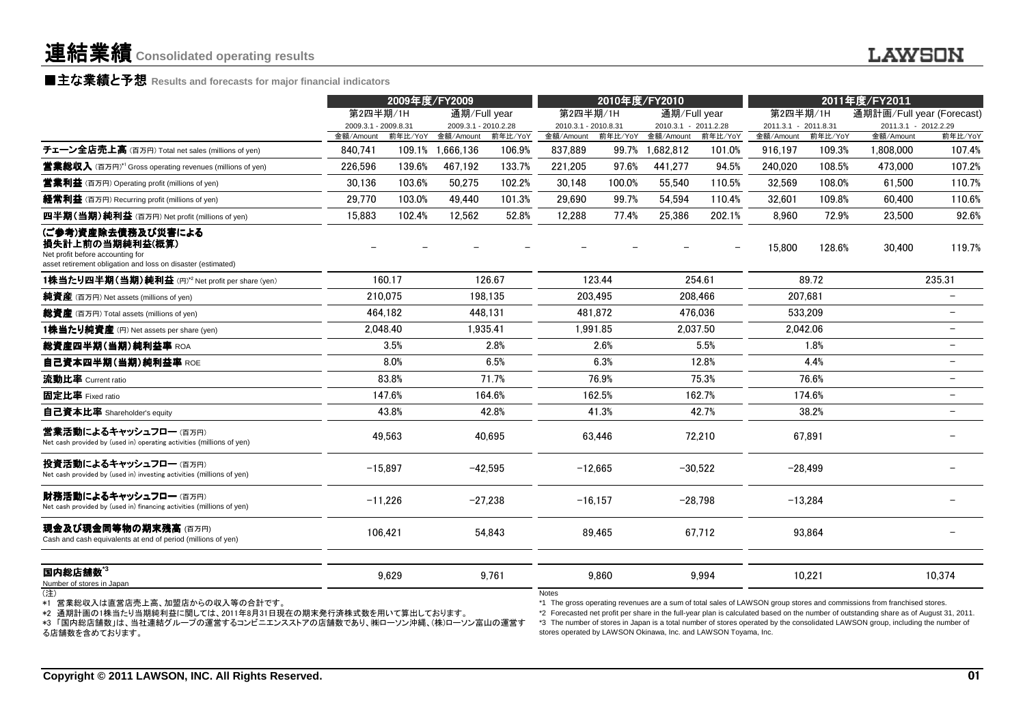#### **■主な業績と予想** Results and forecasts for major financial indicators<br>————————————————————

|                                                                                                                                           |                      | 2009年度/FY2009 |                                       |                   | 2010年度/FY2010        |                  |                        | 2011年度/FY2011     |                      |                   |                           |                          |
|-------------------------------------------------------------------------------------------------------------------------------------------|----------------------|---------------|---------------------------------------|-------------------|----------------------|------------------|------------------------|-------------------|----------------------|-------------------|---------------------------|--------------------------|
|                                                                                                                                           | 第2四半期/1H             |               | 通期/Full year                          |                   | 第2四半期/1H             |                  | 通期/Full year           |                   | 第2四半期/1H             |                   | 通期計画/Full year (Forecast) |                          |
|                                                                                                                                           | 2009.3.1 - 2009.8.31 |               | 2009.3.1 - 2010.2.28                  |                   | 2010.3.1 - 2010.8.31 |                  | 2010.3.1 - 2011.2.28   |                   | 2011.3.1 - 2011.8.31 |                   | 2011.3.1 - 2012.2.29      |                          |
| チェーン全店売上高 (百万円) Total net sales (millions of yen)                                                                                         | 金額/Amount<br>840.741 |               | 前年比/YoY 金額/Amount<br>109.1% 1,666,136 | 前年比/YoY<br>106.9% | 金額/Amount<br>837.889 | 前年比/YoY<br>99.7% | 金額/Amount<br>1.682.812 | 前年比/YoY<br>101.0% | 金額/Amount<br>916.197 | 前年比/YoY<br>109.3% | 金額/Amount<br>1.808.000    | 前年比/YoY<br>107.4%        |
| <b>営業総収入</b> (百万円) <sup>*1</sup> Gross operating revenues (millions of yen)                                                               | 226.596              | 139.6%        | 467.192                               | 133.7%            | 221.205              | 97.6%            | 441.277                | 94.5%             | 240.020              | 108.5%            | 473,000                   | 107.2%                   |
| <b>営業利益</b> (百万円) Operating profit (millions of yen)                                                                                      | 30.136               | 103.6%        | 50.275                                | 102.2%            | 30.148               | 100.0%           | 55.540                 | 110.5%            | 32.569               | 108.0%            | 61.500                    | 110.7%                   |
|                                                                                                                                           |                      |               |                                       |                   |                      |                  |                        |                   |                      |                   |                           |                          |
| <b>経常利益</b> (百万円) Recurring profit (millions of yen)                                                                                      | 29,770               | 103.0%        | 49.440                                | 101.3%            | 29,690               | 99.7%            | 54,594                 | 110.4%            | 32.601               | 109.8%            | 60,400                    | 110.6%                   |
| 四半期(当期)純利益 (百万円) Net profit (millions of yen)                                                                                             | 15,883               | 102.4%        | 12.562                                | 52.8%             | 12,288               | 77.4%            | 25,386                 | 202.1%            | 8.960                | 72.9%             | 23,500                    | 92.6%                    |
| (ご参考)資産除去債務及び災害による<br>損失計上前の当期純利益(概算)<br>Net profit before accounting for<br>asset retirement obligation and loss on disaster (estimated) |                      |               |                                       |                   |                      |                  |                        |                   | 15,800               | 128.6%            | 30,400                    | 119.7%                   |
| 1株当たり四半期(当期)純利益 (円)*2 Net profit per share (yen)                                                                                          |                      | 160.17        |                                       | 126.67            |                      | 123.44           |                        | 254.61            |                      | 89.72             |                           | 235.31                   |
| <b>純資産</b> (百万円) Net assets (millions of yen)                                                                                             |                      | 210.075       |                                       | 198.135           |                      | 203.495          |                        | 208.466           |                      | 207.681           |                           |                          |
| 総資産 (百万円) Total assets (millions of yen)                                                                                                  |                      | 464,182       |                                       | 448.131           |                      | 481.872          |                        | 476.036           |                      | 533.209           |                           |                          |
| 1株当たり純資産 (円) Net assets per share (yen)                                                                                                   |                      | 2.048.40      |                                       | 1.935.41          |                      | 1.991.85         |                        | 2.037.50          |                      | 2.042.06          |                           | $\overline{\phantom{0}}$ |
| 総資産四半期(当期)純利益率 ROA                                                                                                                        |                      | 3.5%          |                                       | 2.8%              |                      | 2.6%             |                        | 5.5%              |                      | 1.8%              |                           |                          |
| 自己資本四半期(当期)純利益率 ROE                                                                                                                       |                      | 8.0%          |                                       | 6.5%              |                      | 6.3%             |                        | 12.8%             |                      | 4.4%              |                           | $\overline{\phantom{m}}$ |
| 流動比率 Current ratio                                                                                                                        |                      | 83.8%         |                                       | 71.7%             |                      | 76.9%            |                        | 75.3%             |                      | 76.6%             |                           |                          |
| 固定比率 Fixed ratio                                                                                                                          |                      | 147.6%        |                                       | 164.6%            |                      | 162.5%           |                        | 162.7%            |                      | 174.6%            |                           |                          |
| 自己資本比率 Shareholder's equity                                                                                                               |                      | 43.8%         |                                       | 42.8%             |                      | 41.3%            |                        | 42.7%             |                      | 38.2%             |                           |                          |
| 営業活動によるキャッシュフロー(百万円)<br>Net cash provided by (used in) operating activities (millions of yen)                                             |                      | 49,563        |                                       | 40,695            |                      | 63,446           |                        | 72,210            |                      | 67,891            |                           |                          |
| 投資活動によるキャッシュフロー (百万円)<br>Net cash provided by (used in) investing activities (millions of yen)                                            |                      | $-15,897$     |                                       | $-42,595$         |                      | $-12,665$        |                        | $-30,522$         |                      | $-28,499$         |                           |                          |
| 財務活動によるキャッシュフロー (百万円)<br>Net cash provided by (used in) financing activities (millions of yen)                                            |                      | $-11,226$     |                                       | $-27,238$         |                      | $-16,157$        |                        | $-28,798$         |                      | $-13,284$         |                           |                          |
| 現金及び現金同等物の期末残高(百万円)<br>Cash and cash equivalents at end of period (millions of yen)                                                       |                      | 106,421       |                                       | 54,843            |                      | 89,465           |                        | 67,712            |                      | 93,864            |                           |                          |
| 国内総店舗数"                                                                                                                                   |                      | 9,629         |                                       | 9.761             |                      | 9,860            |                        | 9,994             |                      | 10,221            |                           | 10,374                   |
| Number of stores in Japan                                                                                                                 |                      |               |                                       |                   |                      |                  |                        |                   |                      |                   |                           |                          |

\*1 営業総収入は直営店売上高、加盟店からの収入等の合計です。

\*2 通期計画の1株当たり当期純利益に関しては、2011年8月31日現在の期末発行済株式数を用いて算出しております。

 \*3 「国内総店舗数」は、当社連結グループの運営するコンビニエンスストアの店舗数であり、㈱ローソン沖縄、(株)ローソン富山の運営する店舗数を含めております。

Notes

\*1 The gross operating revenues are a sum of total sales of LAWSON group stores and commissions from franchised stores.

\*2 Forecasted net profit per share in the full-year plan is calculated based on the number of outstanding share as of August 31, 2011. \*3 The number of stores in Japan is a total number of stores operated by the consolidated LAWSON group, including the number of stores operated by LAWSON Okinawa, Inc. and LAWSON Toyama, Inc.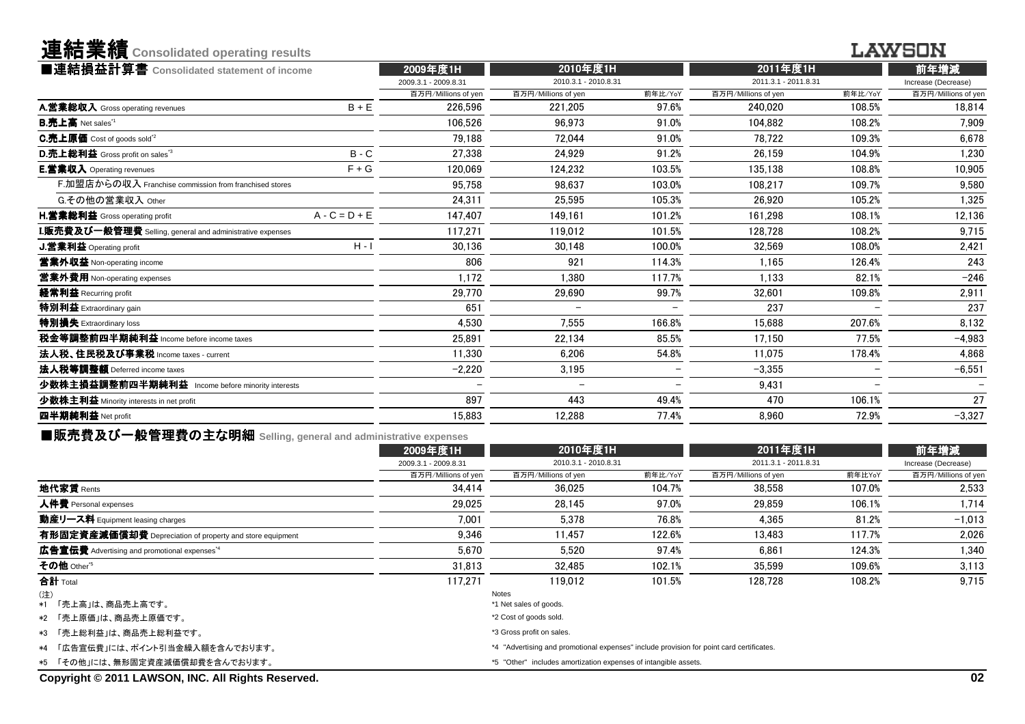連結業績**Consolidated operating results**

#### **LAWSON**

| ■連結損益計算書 Consolidated statement of income                 |                 | 2009年度1H             | 2010年度1H             |                          | 2011年度1H             | 前年増減                     |                     |  |
|-----------------------------------------------------------|-----------------|----------------------|----------------------|--------------------------|----------------------|--------------------------|---------------------|--|
|                                                           |                 | 2009.3.1 - 2009.8.31 | 2010.3.1 - 2010.8.31 |                          | 2011.3.1 - 2011.8.31 |                          | Increase (Decrease) |  |
|                                                           |                 | 百万円/Millions of yen  | 百万円/Millions of yen  | 前年比/YoY                  | 百万円/Millions of yen  | 前年比/YoY                  | 百万円/Millions of yen |  |
| A.営業総収入 Gross operating revenues                          | $B + E$         | 226.596              | 221.205              | 97.6%                    | 240.020              | 108.5%                   | 18,814              |  |
| <b>B.売上高</b> Net sales <sup>"1</sup>                      |                 | 106.526              | 96.973               | 91.0%                    | 104.882              | 108.2%                   | 7.909               |  |
| <b>C.売上原価</b> Cost of goods sold <sup>*2</sup>            |                 | 79.188               | 72.044               | 91.0%                    | 78.722               | 109.3%                   | 6.678               |  |
| D.売上総利益 Gross profit on sales <sup>"3</sup>               | $B - C$         | 27.338               | 24.929               | 91.2%                    | 26.159               | 104.9%                   | 1,230               |  |
| E.営業収入 Operating revenues                                 | $F + G$         | 120,069              | 124.232              | 103.5%                   | 135.138              | 108.8%                   | 10.905              |  |
| F.加盟店からの収入 Franchise commission from franchised stores    |                 | 95.758               | 98.637               | 103.0%                   | 108,217              | 109.7%                   | 9,580               |  |
| G.その他の営業収入 Other                                          |                 | 24,311               | 25.595               | 105.3%                   | 26.920               | 105.2%                   | 1,325               |  |
| <b>H.営業総利益</b> Gross operating profit                     | $A - C = D + E$ | 147,407              | 149.161              | 101.2%                   | 161.298              | 108.1%                   | 12,136              |  |
| I.販売費及び一般管理費 Selling, general and administrative expenses |                 | 117.271              | 119.012              | 101.5%                   | 128,728              | 108.2%                   | 9,715               |  |
| J.営業利益 Operating profit                                   | $H - I$         | 30,136               | 30.148               | 100.0%                   | 32.569               | 108.0%                   | 2,421               |  |
| 営業外収益 Non-operating income                                |                 | 806                  | 921                  | 114.3%                   | 1.165                | 126.4%                   | 243                 |  |
| <b>営業外費用</b> Non-operating expenses                       |                 | 1,172                | 1.380                | 117.7%                   | 1,133                | 82.1%                    | $-246$              |  |
| 経常利益 Recurring profit                                     |                 | 29,770               | 29.690               | 99.7%                    | 32.601               | 109.8%                   | 2,911               |  |
| 特別利益 Extraordinary gain                                   |                 | 651                  |                      |                          | 237                  |                          | 237                 |  |
| 特別損失 Extraordinary loss                                   |                 | 4,530                | 7,555                | 166.8%                   | 15,688               | 207.6%                   | 8,132               |  |
| 税金等調整前四半期純利益 Income before income taxes                   |                 | 25.891               | 22.134               | 85.5%                    | 17.150               | 77.5%                    | $-4,983$            |  |
| 法人税、住民税及び事業税 Income taxes - current                       |                 | 11.330               | 6.206                | 54.8%                    | 11.075               | 178.4%                   | 4.868               |  |
| 法人税等調整額 Deferred income taxes                             |                 | $-2,220$             | 3,195                |                          | $-3,355$             |                          | $-6,551$            |  |
| 少数株主損益調整前四半期純利益 Income before minority interests          |                 |                      |                      | $\overline{\phantom{a}}$ | 9.431                | $\overline{\phantom{0}}$ |                     |  |
| 少数株主利益 Minority interests in net profit                   |                 | 897                  | 443                  | 49.4%                    | 470                  | 106.1%                   | 27                  |  |
| 四半期純利益 Net profit                                         |                 | 15,883               | 12,288               | 77.4%                    | 8,960                | 72.9%                    | $-3,327$            |  |
|                                                           |                 |                      |                      |                          |                      |                          |                     |  |

■販売費及び一般管理費の主な明細 **Selling, general and administrative expenses**

| 2009年度1H               |                        |         |                                  |                                                                                                                                                             | 前年増減                             |  |  |  |
|------------------------|------------------------|---------|----------------------------------|-------------------------------------------------------------------------------------------------------------------------------------------------------------|----------------------------------|--|--|--|
| 2009.3.1 - 2009.8.31   |                        |         |                                  |                                                                                                                                                             | Increase (Decrease)              |  |  |  |
| 百万円/Millions of yen    | 百万円/Millions of yen    | 前年比/YoY | 百万円/Millions of yen              | 前年比YoY                                                                                                                                                      | 百万円/Millions of yen              |  |  |  |
| 34.414                 | 36.025                 | 104.7%  | 38,558                           | 107.0%                                                                                                                                                      | 2,533                            |  |  |  |
| 29.025                 | 28.145                 | 97.0%   | 29,859                           | 106.1%                                                                                                                                                      | 1,714                            |  |  |  |
| 7.001                  | 5.378                  | 76.8%   | 4.365                            | 81.2%                                                                                                                                                       | $-1,013$                         |  |  |  |
| 9,346                  | 11.457                 | 122.6%  | 13,483                           | 117.7%                                                                                                                                                      | 2,026                            |  |  |  |
| 5.670                  | 5.520                  | 97.4%   | 6.861                            | 124.3%                                                                                                                                                      | 1,340                            |  |  |  |
| 31.813                 | 32.485                 | 102.1%  | 35,599                           | 109.6%                                                                                                                                                      | 3,113                            |  |  |  |
| 117.271                | 119.012                | 101.5%  | 128.728                          | 108.2%                                                                                                                                                      | 9.715                            |  |  |  |
|                        | Notes                  |         |                                  |                                                                                                                                                             |                                  |  |  |  |
|                        | *1 Net sales of goods. |         |                                  |                                                                                                                                                             |                                  |  |  |  |
|                        | *2 Cost of goods sold. |         |                                  |                                                                                                                                                             |                                  |  |  |  |
| *3 「売上総利益」は、商品売上総利益です。 |                        |         | *3 Gross profit on sales.        |                                                                                                                                                             |                                  |  |  |  |
|                        |                        |         |                                  |                                                                                                                                                             |                                  |  |  |  |
|                        |                        |         |                                  |                                                                                                                                                             |                                  |  |  |  |
|                        |                        |         | 2010年度1H<br>2010.3.1 - 2010.8.31 | *4 "Advertising and promotional expenses" include provision for point card certificates.<br>*5 "Other" includes amortization expenses of intangible assets. | 2011年度1H<br>2011.3.1 - 2011.8.31 |  |  |  |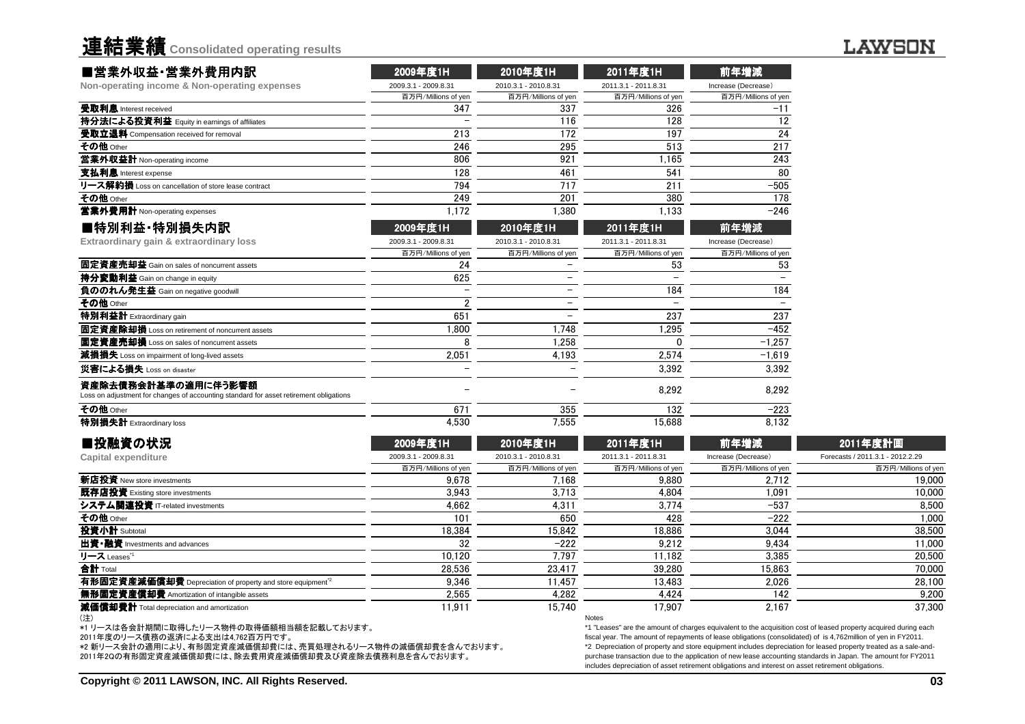| 連結業績 Consolidated operating results |  |  |
|-------------------------------------|--|--|
|                                     |  |  |

| ■営業外収益·営業外費用内訳                                                                                                | 2009年度1H             | 2010年度1H             | 2011年度1H             | 前年増減                |
|---------------------------------------------------------------------------------------------------------------|----------------------|----------------------|----------------------|---------------------|
| Non-operating income & Non-operating expenses                                                                 | 2009.3.1 - 2009.8.31 | 2010.3.1 - 2010.8.31 | 2011.3.1 - 2011.8.31 | Increase (Decrease) |
|                                                                                                               | 百万円/Millions of yen  | 百万円/Millions of yen  | 百万円/Millions of yen  | 百万円/Millions of yen |
| 受取利息 Interest received                                                                                        | 347                  | 337                  | 326                  | $-11$               |
| 持分法による投資利益 Equity in earnings of affiliates                                                                   |                      | 116                  | 128                  | 12                  |
| 受取立退料 Compensation received for removal                                                                       | 213                  | 172                  | 197                  | 24                  |
| その他 Other                                                                                                     | 246                  | 295                  | 513                  | 217                 |
| 営業外収益計 Non-operating income                                                                                   | 806                  | 921                  | 1.165                | 243                 |
| 支払利息 Interest expense                                                                                         | 128                  | 461                  | 541                  | 80                  |
| リース解約損 Loss on cancellation of store lease contract                                                           | 794                  | 717                  | 211                  | $-505$              |
| その他 Other                                                                                                     | 249                  | 201                  | 380                  | 178                 |
| 営業外費用計 Non-operating expenses                                                                                 | 1.172                | 1.380                | 1.133                | $-246$              |
| ■特別利益·特別損失内訳                                                                                                  | 2009年度1H             | 2010年度1H             | 2011年度1H             | 前年増減                |
| Extraordinary gain & extraordinary loss                                                                       | 2009.3.1 - 2009.8.31 | 2010.3.1 - 2010.8.31 | 2011.3.1 - 2011.8.31 | Increase (Decrease) |
|                                                                                                               | 百万円/Millions of yen  | 百万円/Millions of yen  | 百万円/Millions of yen  | 百万円/Millions of yen |
| 固定資産売却益 Gain on sales of noncurrent assets                                                                    | 24                   |                      | 53                   | 53                  |
| 持分変動利益 Gain on change in equity                                                                               | 625                  |                      |                      |                     |
| 負ののれん発生益 Gain on negative goodwill                                                                            |                      |                      | 184                  | 184                 |
| その他 Other                                                                                                     |                      |                      |                      |                     |
| 特別利益計 Extraordinary gain                                                                                      | 651                  |                      | 237                  | 237                 |
| 固定資産除却損 Loss on retirement of noncurrent assets                                                               | .800                 | 1.748                | 1,295                | $-452$              |
| 固定資産売却損 Loss on sales of noncurrent assets                                                                    |                      | 1.258                |                      | $-1.257$            |
| 減損損失 Loss on impairment of long-lived assets                                                                  | 2,051                | 4,193                | 2,574                | $-1.619$            |
| 災害による損失 Loss on disaster                                                                                      |                      |                      | 3.392                | 3.392               |
| 資産除去債務会計基準の適用に伴う影響額<br>Loss on adjustment for changes of accounting standard for asset retirement obligations |                      |                      | 8,292                | 8,292               |
| その他 Other                                                                                                     | 671                  | 355                  | 132                  | $-223$              |
| 特別損失計 Extraordinary loss                                                                                      | 4,530                | 7.555                | 15.688               | 8.132               |

| ■投融資の状況                                                               | 2009年度1H             | 2010年度1H             | 2011年度1H             | 前年増減                | 2011年度計画                         |
|-----------------------------------------------------------------------|----------------------|----------------------|----------------------|---------------------|----------------------------------|
| Capital expenditure                                                   | 2009.3.1 - 2009.8.31 | 2010.3.1 - 2010.8.31 | 2011.3.1 - 2011.8.31 | Increase (Decrease) | Forecasts / 2011.3.1 - 2012.2.29 |
|                                                                       | 百万円/Millions of yen  | 百万円/Millions of yen  | 百万円/Millions of yen  | 百万円/Millions of yen | 百万円/Millions of yen              |
| 新店投資 New store investments                                            | 9.678                | 7.168                | 9.880                | 2.712               | 19,000                           |
| 既存店投資 Existing store investments                                      | 3.943                | 3.713                | 4.804                | 1,091               | 10,000                           |
| システム関連投資 IT-related investments                                       | 4.662                | 4.311                | 3.774                | $-537$              | 8.500                            |
| その他 Other                                                             | 101                  | 650                  | 428                  | $-222$              | 1,000                            |
| 投資小計 Subtotal                                                         | 18,384               | 15.842               | 18.886               | 3.044               | 38,500                           |
| 出資•融資 Investments and advances                                        | 32                   | $-222$               | 9.212                | 9.434               | 11.000                           |
| リース Leases <sup>*1</sup>                                              | 10.120               | 7.797                | 11.182               | 3.385               | 20,500                           |
| <b>合計</b> Total                                                       | 28.536               | 23.417               | 39.280               | 15.863              | 70,000                           |
| 有形固定資産減価償却費 Depreciation of property and store equipment <sup>2</sup> | 9.346                | 11.457               | 13.483               | 2.026               | 28,100                           |
| 無形固定資産償却費 Amortization of intangible assets                           | 2.565                | 4.282                | 4.424                | 142                 | 9.200                            |
| 減価償却費計 Total depreciation and amortization                            | 11,911               | 15.740               | 17.907               | 2,167               | 37,300                           |
| (注)                                                                   |                      |                      | Notes                |                     |                                  |

(注)

\*1 リースは各会計期間に取得したリース物件の取得価額相当額を記載しております。

2011年度のリース債務の返済による支出は4,762百万円です。

\*2 新リース会計の適用により、有形固定資産減価償却費には、売買処理されるリース物件の減価償却費を含んでおります。 2011年2Qの有形固定資産減価償却費には、除去費用資産減価償却費及び資産除去債務利息を含んでおります。

Notes

 \*1 "Leases" are the amount of charges equivalent to the acquisition cost of leased property acquired during eachfiscal year. The amount of repayments of lease obligations (consolidated) of is 4,762million of yen in FY2011. \*2 Depreciation of property and store equipment includes depreciation for leased property treated as a sale-andpurchase transaction due to the application of new lease accounting standards in Japan. The amount for FY2011includes depreciation of asset retirement obligations and interest on asset retirement obligations.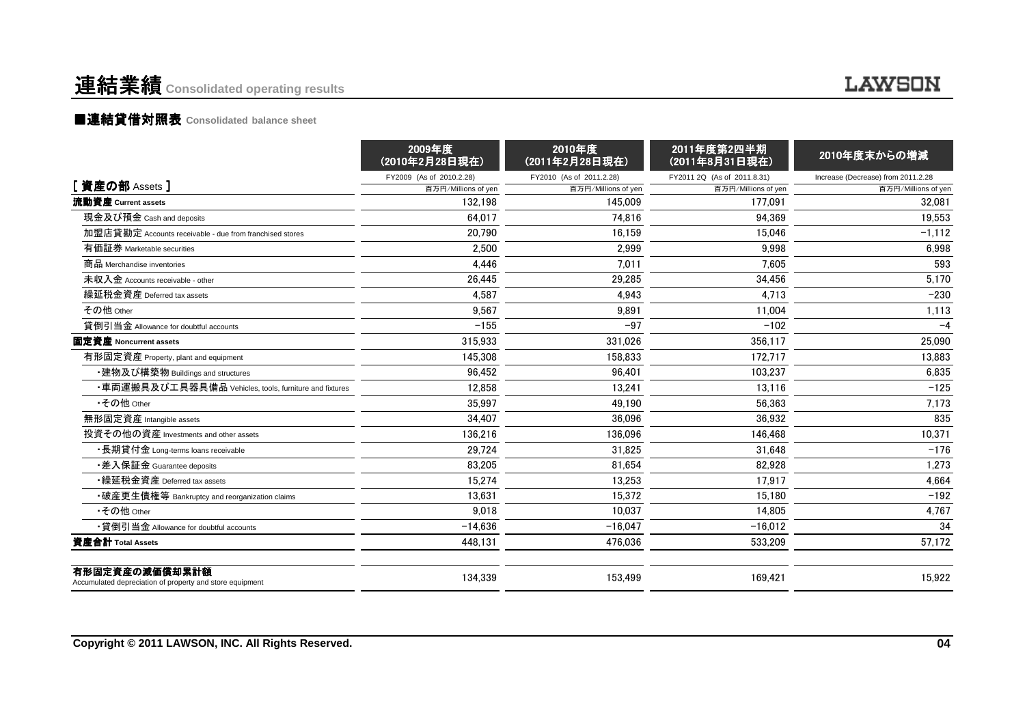### 連結業績 **Consolidated operating results**

#### **LAWSON**

#### ■連結貸借対照表 Consolidated balance sheet

|                                                                            | 2009年度<br>(2010年2月28日現在) | 2010年度<br>(2011年2月28日現在) | 2011年度第2四半期<br>(2011年8月31日現在) | 2010年度末からの増減                       |
|----------------------------------------------------------------------------|--------------------------|--------------------------|-------------------------------|------------------------------------|
|                                                                            | FY2009 (As of 2010.2.28) | FY2010 (As of 2011.2.28) | FY2011 2Q (As of 2011.8.31)   | Increase (Decrease) from 2011.2.28 |
| [ 資産の部 Assets ]                                                            | 百万円/Millions of yen      | 百万円/Millions of yen      | 百万円/Millions of yen           | 百万円/Millions of yen                |
| 流動資産 Current assets                                                        | 132.198                  | 145.009                  | 177.091                       | 32.081                             |
| 現金及び預金 Cash and deposits                                                   | 64.017                   | 74.816                   | 94.369                        | 19.553                             |
| 加盟店貸勘定 Accounts receivable - due from franchised stores                    | 20.790                   | 16.159                   | 15.046                        | $-1,112$                           |
| 有価証券 Marketable securities                                                 | 2.500                    | 2.999                    | 9.998                         | 6,998                              |
| 商品 Merchandise inventories                                                 | 4,446                    | 7.011                    | 7.605                         | 593                                |
| 未収入金 Accounts receivable - other                                           | 26,445                   | 29,285                   | 34,456                        | 5,170                              |
| 繰延税金資産 Deferred tax assets                                                 | 4,587                    | 4.943                    | 4.713                         | $-230$                             |
| その他 Other                                                                  | 9.567                    | 9.891                    | 11.004                        | 1,113                              |
| 貸倒引当金 Allowance for doubtful accounts                                      | $-155$                   | $-97$                    | $-102$                        | $-4$                               |
| 固定資産 Noncurrent assets                                                     | 315.933                  | 331.026                  | 356.117                       | 25,090                             |
| 有形固定資産 Property, plant and equipment                                       | 145.308                  | 158.833                  | 172.717                       | 13,883                             |
| ・建物及び構築物 Buildings and structures                                          | 96.452                   | 96.401                   | 103.237                       | 6,835                              |
| ・車両運搬具及び工具器具備品 Vehicles, tools, furniture and fixtures                     | 12.858                   | 13.241                   | 13.116                        | $-125$                             |
| •その他 Other                                                                 | 35.997                   | 49.190                   | 56.363                        | 7,173                              |
| 無形固定資産 Intangible assets                                                   | 34.407                   | 36.096                   | 36.932                        | 835                                |
| 投資その他の資産 Investments and other assets                                      | 136,216                  | 136.096                  | 146.468                       | 10,371                             |
| •長期貸付金 Long-terms loans receivable                                         | 29.724                   | 31.825                   | 31.648                        | $-176$                             |
| •差入保証金 Guarantee deposits                                                  | 83,205                   | 81,654                   | 82.928                        | 1,273                              |
| •繰延税金資産 Deferred tax assets                                                | 15,274                   | 13,253                   | 17.917                        | 4,664                              |
| •破産更生債権等 Bankruptcy and reorganization claims                              | 13,631                   | 15.372                   | 15.180                        | $-192$                             |
| •その他 Other                                                                 | 9.018                    | 10.037                   | 14.805                        | 4,767                              |
| •貸倒引当金 Allowance for doubtful accounts                                     | $-14,636$                | $-16.047$                | $-16,012$                     | 34                                 |
| 資産合計 Total Assets                                                          | 448,131                  | 476,036                  | 533,209                       | 57,172                             |
| 有形固定資産の減価償却累計額<br>Accumulated depreciation of property and store equipment | 134.339                  | 153.499                  | 169.421                       | 15.922                             |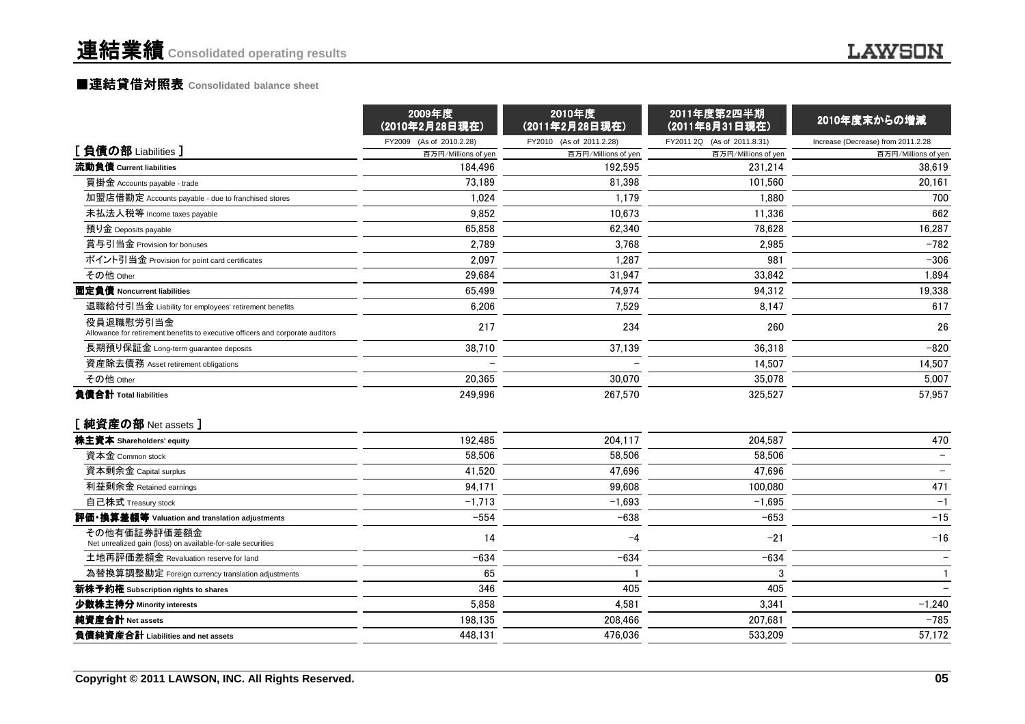#### ■連結貸借対照表 Consolidated balance sheet

|                                                                                             | (2010年2月28日現在)           | (2011年2月28日現在)           | (2011年8月31日現在)              | 2010年度末からの増減                       |
|---------------------------------------------------------------------------------------------|--------------------------|--------------------------|-----------------------------|------------------------------------|
|                                                                                             | FY2009 (As of 2010.2.28) | FY2010 (As of 2011.2.28) | FY2011 2Q (As of 2011.8.31) | Increase (Decrease) from 2011.2.28 |
| [負債の部 Liabilities]                                                                          | 百万円/Millions of yen      | 百万円/Millions of yen      | 百万円/Millions of yen         | 百万円/Millions of yen                |
| 流動負債 Current liabilities                                                                    | 184,496                  | 192.595                  | 231,214                     | 38.619                             |
| 買掛金 Accounts payable - trade                                                                | 73.189                   | 81.398                   | 101.560                     | 20,161                             |
| 加盟店借勘定 Accounts payable - due to franchised stores                                          | 1,024                    | 1,179                    | 1,880                       | 700                                |
| 未払法人税等 Income taxes payable                                                                 | 9,852                    | 10.673                   | 11,336                      | 662                                |
| 預り金 Deposits payable                                                                        | 65,858                   | 62,340                   | 78,628                      | 16,287                             |
| 賞与引当金 Provision for bonuses                                                                 | 2,789                    | 3,768                    | 2,985                       | $-782$                             |
| ポイント引当金 Provision for point card certificates                                               | 2,097                    | 1.287                    | 981                         | $-306$                             |
| その他 Other                                                                                   | 29,684                   | 31,947                   | 33,842                      | 1,894                              |
| 固定負債 Noncurrent liabilities                                                                 | 65,499                   | 74,974                   | 94,312                      | 19,338                             |
| 退職給付引当金 Liability for employees' retirement benefits                                        | 6.206                    | 7.529                    | 8.147                       | 617                                |
| 役員退職慰労引当金<br>Allowance for retirement benefits to executive officers and corporate auditors | 217                      | 234                      | 260                         | 26                                 |
| 長期預り保証金 Long-term guarantee deposits                                                        | 38,710                   | 37,139                   | 36,318                      | $-820$                             |
| 資産除去債務 Asset retirement obligations                                                         |                          |                          | 14,507                      | 14,507                             |
| その他 Other                                                                                   | 20,365                   | 30,070                   | 35.078                      | 5,007                              |
| 負債合計 Total liabilities                                                                      | 249,996                  | 267,570                  | 325,527                     | 57,957                             |
| [純資産の部 Net assets]                                                                          |                          |                          |                             |                                    |
| 株主資本 Shareholders' equity                                                                   | 192,485                  | 204,117                  | 204,587                     | 470                                |
| 資本金 Common stock                                                                            | 58.506                   | 58.506                   | 58.506                      |                                    |
| 資本剰余金 Capital surplus                                                                       | 41,520                   | 47,696                   | 47,696                      |                                    |
| 利益剰余金 Retained earnings                                                                     | 94,171                   | 99.608                   | 100,080                     | 471                                |
| 自己株式 Treasury stock                                                                         | $-1,713$                 | $-1.693$                 | $-1.695$                    | $-1$                               |
| 評価・換算差額等 Valuation and translation adjustments                                              | $-554$                   | $-638$                   | $-653$                      | $-15$                              |
| その他有価証券評価差額金<br>Net unrealized gain (loss) on available-for-sale securities                 | 14                       | $-4$                     | $-21$                       | $-16$                              |
| 土地再評価差額金 Revaluation reserve for land                                                       | $-634$                   | $-634$                   | $-634$                      |                                    |
| 為替換算調整勘定 Foreign currency translation adjustments                                           | 65                       |                          | 3                           | $\mathbf{1}$                       |
| 新株予約権 Subscription rights to shares                                                         | 346                      | 405                      | 405                         |                                    |
| 少数株主持分 Minority interests                                                                   | 5,858                    | 4,581                    | 3,341                       | $-1,240$                           |
| 純資産合計 Net assets                                                                            | 198,135                  | 208,466                  | 207,681                     | $-785$                             |
| 負債純資産合計 Liabilities and net assets                                                          | 448,131                  | 476.036                  | 533,209                     | 57,172                             |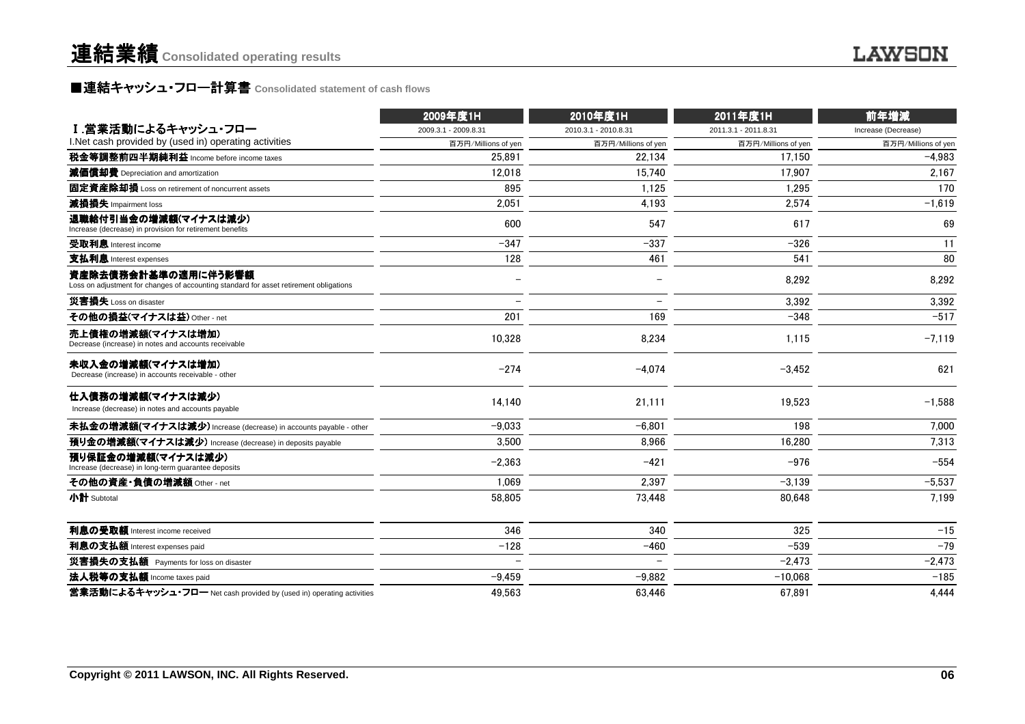### **■連結キャッシュ・フロ一計算書** Consolidated statement of cash flows<br>■

|                                                                                                               | 2009年度1H             | 2010年度1H             | 2011年度1H             | 前年増減                |
|---------------------------------------------------------------------------------------------------------------|----------------------|----------------------|----------------------|---------------------|
| Ⅰ.営業活動によるキャッシュ・フロー                                                                                            | 2009.3.1 - 2009.8.31 | 2010.3.1 - 2010.8.31 | 2011.3.1 - 2011.8.31 | Increase (Decrease) |
| I. Net cash provided by (used in) operating activities                                                        | 百万円/Millions of yen  | 百万円/Millions of yen  | 百万円/Millions of yen  | 百万円/Millions of yen |
| 税金等調整前四半期純利益 Income before income taxes                                                                       | 25.891               | 22.134               | 17.150               | $-4.983$            |
| 減価償却費 Depreciation and amortization                                                                           | 12.018               | 15.740               | 17.907               | 2,167               |
| 固定資産除却損 Loss on retirement of noncurrent assets                                                               | 895                  | 1.125                | 1.295                | 170                 |
| 減損損失 Impairment loss                                                                                          | 2,051                | 4,193                | 2,574                | $-1,619$            |
| 退職給付引当金の増減額(マイナスは減少)<br>Increase (decrease) in provision for retirement benefits                              | 600                  | 547                  | 617                  | 69                  |
| 受取利息 Interest income                                                                                          | $-347$               | $-337$               | $-326$               | 11                  |
| 支払利息 Interest expenses                                                                                        | 128                  | 461                  | 541                  | 80                  |
| 資産除去債務会計基準の適用に伴う影響額<br>Loss on adjustment for changes of accounting standard for asset retirement obligations |                      |                      | 8,292                | 8,292               |
| 災害損失 Loss on disaster                                                                                         |                      |                      | 3,392                | 3,392               |
| その他の損益(マイナスは益) Other - net                                                                                    | 201                  | 169                  | $-348$               | $-517$              |
| 売上債権の増減額(マイナスは増加)<br>Decrease (increase) in notes and accounts receivable                                     | 10,328               | 8,234                | 1,115                | $-7,119$            |
| 未収入金の増減額(マイナスは増加)<br>Decrease (increase) in accounts receivable - other                                       | $-274$               | $-4,074$             | $-3,452$             | 621                 |
| 仕入債務の増減額(マイナスは減少)<br>Increase (decrease) in notes and accounts payable                                        | 14,140               | 21,111               | 19,523               | $-1,588$            |
| 未払金の増減額(マイナスは減少) Increase (decrease) in accounts payable - other                                              | $-9.033$             | $-6.801$             | 198                  | 7.000               |
| 預り金の増減額(マイナスは減少) Increase (decrease) in deposits payable                                                      | 3.500                | 8.966                | 16.280               | 7,313               |
| 預り保証金の増減額(マイナスは減少)<br>Increase (decrease) in long-term guarantee deposits                                     | $-2,363$             | $-421$               | $-976$               | $-554$              |
| その他の資産・負債の増減額 Other - net                                                                                     | 1.069                | 2,397                | $-3.139$             | $-5,537$            |
| 小計 Subtotal                                                                                                   | 58,805               | 73,448               | 80.648               | 7,199               |
| 利息の受取額 Interest income received                                                                               | 346                  | 340                  | 325                  | $-15$               |
| 利息の支払額 Interest expenses paid                                                                                 | $-128$               | $-460$               | $-539$               | $-79$               |
| 災害損失の支払額 Payments for loss on disaster                                                                        |                      |                      | $-2,473$             | $-2,473$            |
| 法人税等の支払額 Income taxes paid                                                                                    | $-9,459$             | $-9,882$             | $-10.068$            | $-185$              |
| 営業活動によるキャッシュ・フロー Net cash provided by (used in) operating activities                                          | 49,563               | 63,446               | 67,891               | 4,444               |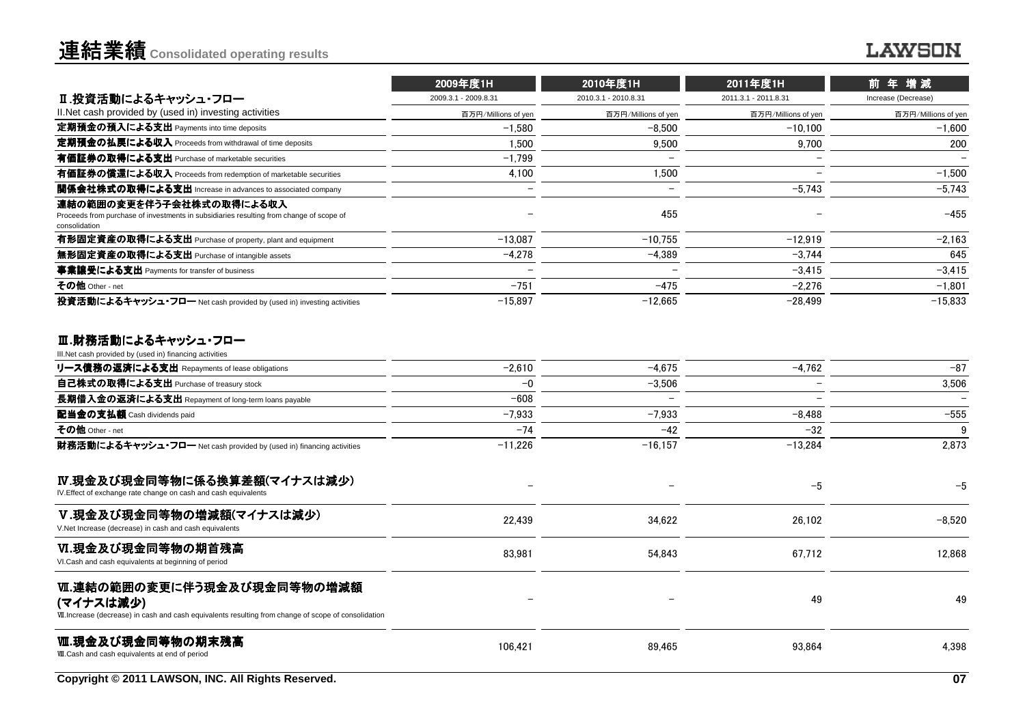|                                                                                                                                      | 2009年度1H             | 2010年度1H                 | 2011年度1H             | 前年増減                     |
|--------------------------------------------------------------------------------------------------------------------------------------|----------------------|--------------------------|----------------------|--------------------------|
| Ⅱ.投資活動によるキャッシュ・フロー                                                                                                                   | 2009.3.1 - 2009.8.31 | 2010.3.1 - 2010.8.31     | 2011.3.1 - 2011.8.31 | Increase (Decrease)      |
| II. Net cash provided by (used in) investing activities                                                                              | 百万円/Millions of yen  | 百万円/Millions of yen      | 百万円/Millions of yen  | 百万円/Millions of yen      |
| 定期預金の預入による支出 Payments into time deposits                                                                                             | $-1.580$             | $-8.500$                 | $-10.100$            | $-1.600$                 |
| 定期預金の払戻による収入 Proceeds from withdrawal of time deposits                                                                               | 1.500                | 9.500                    | 9.700                | 200                      |
| 有価証券の取得による支出 Purchase of marketable securities                                                                                       | $-1.799$             | $\overline{\phantom{0}}$ |                      | $\overline{\phantom{0}}$ |
| 有価証券の償還による収入 Proceeds from redemption of marketable securities                                                                       | 4,100                | 1.500                    |                      | $-1.500$                 |
| 関係会社株式の取得による支出 Increase in advances to associated company                                                                            |                      | $\overline{\phantom{0}}$ | $-5.743$             | $-5.743$                 |
| 連結の範囲の変更を伴う子会社株式の取得による収入<br>Proceeds from purchase of investments in subsidiaries resulting from change of scope of<br>consolidation |                      | 455                      |                      | $-455$                   |
| 有形固定資産の取得による支出 Purchase of property, plant and equipment                                                                             | $-13.087$            | $-10.755$                | $-12.919$            | $-2.163$                 |
| 無形固定資産の取得による支出 Purchase of intangible assets                                                                                         | $-4.278$             | $-4.389$                 | $-3.744$             | 645                      |
| 事業讓受による支出 Payments for transfer of business                                                                                          |                      |                          | $-3.415$             | $-3.415$                 |
| その他 Other - net                                                                                                                      | $-751$               | $-475$                   | $-2.276$             | $-1.801$                 |
| 投資活動によるキャッシュ・フロー Net cash provided by (used in) investing activities                                                                 | $-15.897$            | $-12.665$                | $-28.499$            | $-15.833$                |

#### Ⅲ.財務活動によるキャッシュ・フロー<br>⊪Not cash provided by (used in) financing activities

| III. Net cash provided by (used in) financing activities                                                                                         |                          |                          |                          |          |
|--------------------------------------------------------------------------------------------------------------------------------------------------|--------------------------|--------------------------|--------------------------|----------|
| リース債務の返済による支出 Repayments of lease obligations                                                                                                    | $-2,610$                 | $-4,675$                 | $-4,762$                 | $-87$    |
| 自己株式の取得による支出 Purchase of treasury stock                                                                                                          | $-0$                     | $-3.506$                 |                          | 3,506    |
| 長期借入金の返済による支出 Repayment of long-term loans payable                                                                                               | $-608$                   | $\overline{\phantom{0}}$ | $\overline{\phantom{0}}$ |          |
| 配当金の支払額 Cash dividends paid                                                                                                                      | $-7.933$                 | $-7.933$                 | $-8.488$                 | $-555$   |
| その他 Other - net                                                                                                                                  | $-74$                    | $-42$                    | $-32$                    | 9        |
| 財務活動によるキャッシュ・フロー Net cash provided by (used in) financing activities                                                                             | $-11,226$                | $-16, 157$               | $-13,284$                | 2,873    |
| Ⅳ.現金及び現金同等物に係る換算差額(マイナスは減少)<br>IV. Effect of exchange rate change on cash and cash equivalents                                                   | $\overline{\phantom{0}}$ |                          | $-5$                     | $-5$     |
| V.現金及び現金同等物の増減額(マイナスは減少)<br>V.Net Increase (decrease) in cash and cash equivalents                                                               | 22.439                   | 34.622                   | 26,102                   | $-8.520$ |
| Ⅵ.現金及び現金同等物の期首残高<br>VI.Cash and cash equivalents at beginning of period                                                                          | 83.981                   | 54,843                   | 67.712                   | 12.868   |
| Ⅵ.連結の範囲の変更に伴う現金及び現金同等物の増減額<br>(マイナスは減少)<br>VII. Increase (decrease) in cash and cash equivalents resulting from change of scope of consolidation |                          |                          | 49                       | 49       |
| Ⅷ.現金及び現金同等物の期末残高<br>VII. Cash and cash equivalents at end of period                                                                              | 106.421                  | 89.465                   | 93.864                   | 4.398    |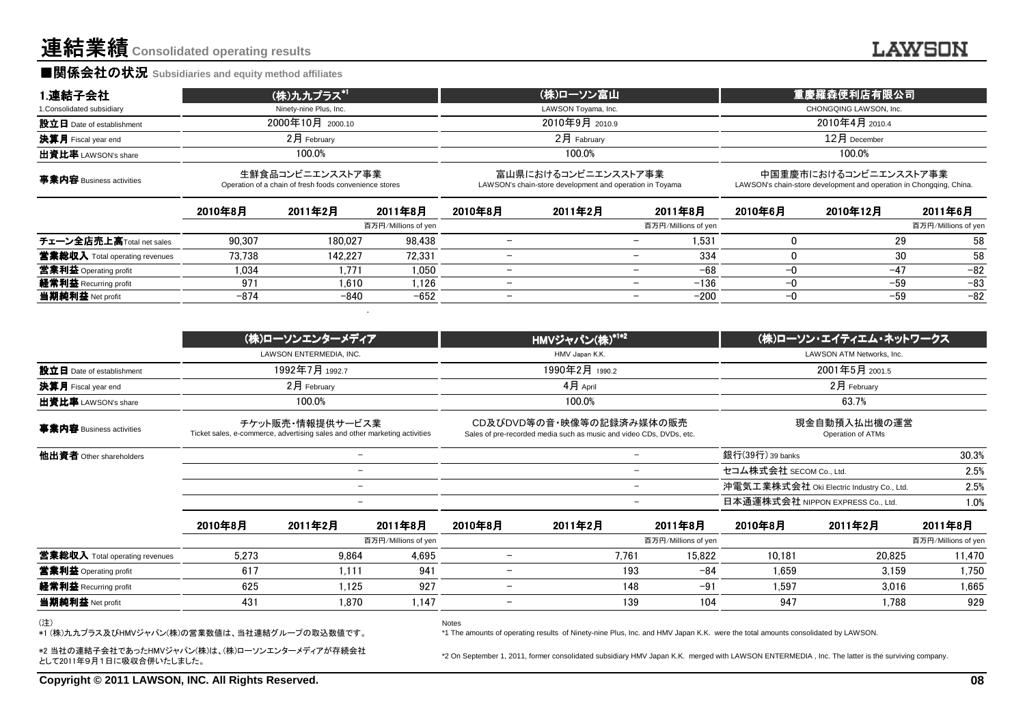#### **■関係会社の状況 Subsidiaries and equity method affiliates**

| 1.連結子会社                        |         | (株)九九プラス* <sup>1</sup>                                                                         |                     |                          | <u>(株)ローソン富山</u>                                                                                |                          |                     |                         | 重慶羅森便利店有限公司                                                                                  |                     |
|--------------------------------|---------|------------------------------------------------------------------------------------------------|---------------------|--------------------------|-------------------------------------------------------------------------------------------------|--------------------------|---------------------|-------------------------|----------------------------------------------------------------------------------------------|---------------------|
| 1. Consolidated subsidiary     |         | Ninety-nine Plus, Inc.                                                                         |                     |                          | LAWSON Toyama, Inc.                                                                             |                          |                     |                         | CHONGQING LAWSON, Inc.                                                                       |                     |
| 設立日 Date of establishment      |         | 2000年10月 2000.10                                                                               |                     |                          | 2010年9月 2010.9                                                                                  |                          |                     |                         | 2010年4月 2010.4                                                                               |                     |
| 決算月 Fiscal year end            |         | $2$ 月 February                                                                                 |                     |                          | 2月 Fabruary                                                                                     |                          |                     |                         | 12月 December                                                                                 |                     |
| 出資比率 LAWSON's share            |         | 100.0%                                                                                         |                     |                          | 100.0%                                                                                          |                          |                     |                         | 100.0%                                                                                       |                     |
| 事業内容 Business activities       |         | 生鮮食品コンビニエンスストア事業<br>Operation of a chain of fresh foods convenience stores                     |                     |                          | 富山県におけるコンビニエンスストア事業<br>LAWSON's chain-store development and operation in Toyama                 |                          |                     |                         | 中国重慶市におけるコンビニエンスストア事業<br>LAWSON's chain-store development and operation in Chongging, China. |                     |
|                                | 2010年8月 | 2011年2月                                                                                        | 2011年8月             | 2010年8月                  | 2011年2月                                                                                         |                          | 2011年8月             | 2010年6月                 | 2010年12月                                                                                     | 2011年6月             |
|                                |         |                                                                                                | 百万円/Millions of yen |                          |                                                                                                 |                          | 百万円/Millions of yen |                         |                                                                                              | 百万円/Millions of yen |
| チェーン全店売上高Total net sales       | 90.307  | 180.027                                                                                        | 98.438              | $\overline{\phantom{m}}$ |                                                                                                 |                          | 1.531               | 0                       | 29                                                                                           | 58                  |
| 営業総収入 Total operating revenues | 73.738  | 142.227                                                                                        | 72.331              |                          |                                                                                                 |                          | 334                 | $\mathbf 0$             | 30                                                                                           | 58                  |
| 営業利益 Operating profit          | 1.034   | 1,771                                                                                          | 1.050               | $\overline{\phantom{m}}$ |                                                                                                 | $\overline{\phantom{m}}$ | $-68$               | $-0$                    | $-47$                                                                                        | $-82$               |
| 経常利益 Recurring profit          | 971     | 1.610                                                                                          | 1.126               | $\overline{\phantom{0}}$ |                                                                                                 | $\overline{\phantom{m}}$ | $-136$              | $-0$                    | $-59$                                                                                        | $-83$               |
| 当期純利益 Net profit               | $-874$  | $-840$                                                                                         | $-652$              |                          |                                                                                                 | $\overline{\phantom{m}}$ | $-200$              | $-0$                    | $-59$                                                                                        | $-82$               |
|                                |         |                                                                                                |                     |                          |                                                                                                 |                          |                     |                         |                                                                                              |                     |
|                                |         | (株)ローソンエンターメディア                                                                                |                     |                          | HMVジャパン(株)* <sup>1*2</sup>                                                                      |                          |                     |                         | (株)ローソン・エイティエム・ネットワークス                                                                       |                     |
|                                |         | LAWSON ENTERMEDIA, INC.                                                                        |                     |                          | HMV Japan K.K.                                                                                  |                          |                     |                         | LAWSON ATM Networks, Inc.                                                                    |                     |
| 設立日 Date of establishment      |         | 1992年7月 1992.7                                                                                 |                     |                          | 1990年2月 1990.2                                                                                  |                          |                     |                         | 2001年5月 2001.5                                                                               |                     |
| 決算月 Fiscal year end            |         | $2$ 月 February                                                                                 |                     |                          | 4月 April                                                                                        |                          |                     |                         | 2月 February                                                                                  |                     |
| 出資比率 LAWSON's share            |         | 100.0%                                                                                         |                     |                          | 100.0%                                                                                          |                          |                     |                         |                                                                                              |                     |
| 事業内容 Business activities       |         | チケット販売・情報提供サービス業<br>Ticket sales, e-commerce, advertising sales and other marketing activities |                     |                          | CD及びDVD等の音·映像等の記録済み媒体の販売<br>Sales of pre-recorded media such as music and video CDs, DVDs, etc. |                          |                     |                         | 現金自動預入払出機の運営<br>Operation of ATMs                                                            |                     |
| 他出資者 Other shareholders        |         | $\overline{\phantom{0}}$                                                                       |                     |                          |                                                                                                 | $\overline{\phantom{0}}$ |                     | 銀行(39行) 39 banks        |                                                                                              | 30.3%               |
|                                |         | $-$                                                                                            |                     |                          |                                                                                                 | Ξ.                       |                     | セコム株式会社 SECOM Co., Ltd. |                                                                                              | 2.5%                |

| <b>出資比率</b> LAWSON's share     |         | 100.0%                                                                                         |                                |                          | 100.0%                                                                                          |                                    |                       | 100.0%                                                                                       |                               |  |  |
|--------------------------------|---------|------------------------------------------------------------------------------------------------|--------------------------------|--------------------------|-------------------------------------------------------------------------------------------------|------------------------------------|-----------------------|----------------------------------------------------------------------------------------------|-------------------------------|--|--|
| 事業内容 Business activities       |         | 生鮮食品コンビニエンスストア事業<br>Operation of a chain of fresh foods convenience stores                     |                                |                          | 富山県におけるコンビニエンスストア事業<br>LAWSON's chain-store development and operation in Toyama                 |                                    |                       | 中国重慶市におけるコンビニエンスストア事業<br>LAWSON's chain-store development and operation in Chongqing, China. |                               |  |  |
|                                | 2010年8月 | 2011年2月                                                                                        | 2011年8月                        |                          | 2011年2月                                                                                         | 2011年8月                            | 2010年6月               | 2010年12月                                                                                     | 2011年6月                       |  |  |
|                                |         |                                                                                                | 百万円/Millions of yen            |                          |                                                                                                 | 百万円/Millions of yen                |                       |                                                                                              | 百万円/Millions of yen           |  |  |
| チェーン全店売上高Total net sales       | 90,307  | 180,027                                                                                        | 98,438                         | $\qquad \qquad -$        |                                                                                                 | 1,531<br>$\overline{\phantom{0}}$  | $\Omega$              | 29                                                                                           | 58                            |  |  |
| 営業総収入 Total operating revenues | 73.738  | 142.227                                                                                        | 72.331                         |                          |                                                                                                 | 334<br>$\overline{\phantom{0}}$    | $\Omega$              | 30                                                                                           | 58                            |  |  |
| 営業利益 Operating profit          | 1.034   | 1.771                                                                                          | 1.050                          |                          |                                                                                                 | $-68$<br>$\overline{\phantom{0}}$  | -0                    | $-47$                                                                                        | $-82$                         |  |  |
| 経常利益 Recurring profit          | 971     | 1.610                                                                                          | 1,126                          | $\overline{\phantom{0}}$ |                                                                                                 | $-136$<br>$\qquad \qquad -$        | $-0$                  | $-59$                                                                                        | $-83$                         |  |  |
| 当期純利益 Net profit               | $-874$  | $-840$                                                                                         | $-652$                         |                          |                                                                                                 | $-200$<br>$\overline{\phantom{0}}$ | $-0$                  | $-59$                                                                                        | $-82$                         |  |  |
|                                |         |                                                                                                |                                |                          |                                                                                                 |                                    |                       |                                                                                              |                               |  |  |
|                                |         | (株)ローソンエンターメディア                                                                                |                                |                          | HMVジャパン(株)*1*2                                                                                  |                                    |                       | (株)ローソン・エイティエム・ネットワークス                                                                       |                               |  |  |
|                                |         | LAWSON ENTERMEDIA, INC.                                                                        |                                |                          | HMV Japan K.K.                                                                                  |                                    |                       | LAWSON ATM Networks, Inc.                                                                    |                               |  |  |
| 設立日 Date of establishment      |         | 1992年7月 1992.7                                                                                 |                                |                          | 1990年2月 1990.2                                                                                  |                                    |                       | 2001年5月 2001.5                                                                               |                               |  |  |
| 決算月 Fiscal year end            |         | 2月 February                                                                                    |                                |                          | 4月 April                                                                                        |                                    |                       | $2月$ February                                                                                |                               |  |  |
| 出資比率 LAWSON's share            |         | 100.0%                                                                                         |                                |                          | 100.0%                                                                                          |                                    |                       | 63.7%                                                                                        |                               |  |  |
| 事業内容 Business activities       |         | チケット販売・情報提供サービス業<br>Ticket sales, e-commerce, advertising sales and other marketing activities |                                |                          | CD及びDVD等の音·映像等の記録済み媒体の販売<br>Sales of pre-recorded media such as music and video CDs, DVDs, etc. |                                    |                       | 現金自動預入払出機の運営<br>Operation of ATMs                                                            |                               |  |  |
| 他出資者 Other shareholders        |         | $-$                                                                                            |                                |                          |                                                                                                 | $-$                                | 銀行(39行) 39 banks      |                                                                                              | 30.3%                         |  |  |
|                                |         | $\overline{\phantom{0}}$                                                                       |                                |                          |                                                                                                 | $-$                                | セコム株式会社 SECOM Co Ltd. |                                                                                              | 2.5%                          |  |  |
|                                |         | $\overline{\phantom{0}}$                                                                       |                                |                          |                                                                                                 | $\overline{\phantom{m}}$           |                       | 沖電気工業株式会社 Oki Electric Industry Co., Ltd.                                                    | 2.5%                          |  |  |
|                                |         |                                                                                                |                                |                          |                                                                                                 | $\overline{\phantom{0}}$           |                       | 日本通運株式会社 NIPPON EXPRESS Co., Ltd.                                                            | 1.0%                          |  |  |
|                                | 2010年8月 | 2011年2月                                                                                        | 2011年8月                        | 2010年8月                  | 2011年2月                                                                                         | 2011年8月                            | 2010年8月               | 2011年2月                                                                                      | 2011年8月                       |  |  |
|                                |         |                                                                                                | $\pm$ $\pm$ m /Milliana af use |                          |                                                                                                 | $\pm \pm m$ (Milliana afrona)      |                       |                                                                                              | $\pm \pm m$ (Milliana of Long |  |  |

|                                       |       |       | 百万円/Millions of yen |                          |       | 百万円/Millions of yen |        |        | 百万円/Millions of yen |
|---------------------------------------|-------|-------|---------------------|--------------------------|-------|---------------------|--------|--------|---------------------|
| <b>営業総収入</b> Total operating revenues | 5.273 | 9.864 | 4,695               |                          | 7.761 | 15.822              | 10.181 | 20,825 | 11,470              |
| 當業利益 Operating profit                 | 617   | .111  | 941                 |                          | 193   | $-84$               | .659   | 3.159  | 1,750               |
| <b>経常利益</b> Recurring profit          | 625   | .125  | 927                 | $\overline{\phantom{a}}$ | 148   | $-91$               | .597   | 3.016  | 1.665               |
| 当期純利益 Net profit                      | 431   | 1.870 | 147.،               |                          | 139   | 104                 | 947    | 1.788  | 929                 |
|                                       |       |       |                     |                          |       |                     |        |        |                     |

Notes

(注)

\*1 (株)九九プラス及びHMVジャパン(株)の営業数値は、当社連結グループの取込数値です。

\*1 The amounts of operating results of Ninety-nine Plus, Inc. and HMV Japan K.K. were the total amounts consolidated by LAWSON.

\*2 当社の連結子会社であったHMVジャパン(株)は、(株)ローソンエンターメディアが存続会社**として2011年9月1日に吸収合併いたしました。** 

\*2 On September 1, 2011, former consolidated subsidiary HMV Japan K.K. merged with LAWSON ENTERMEDIA , Inc. The latter is the surviving company.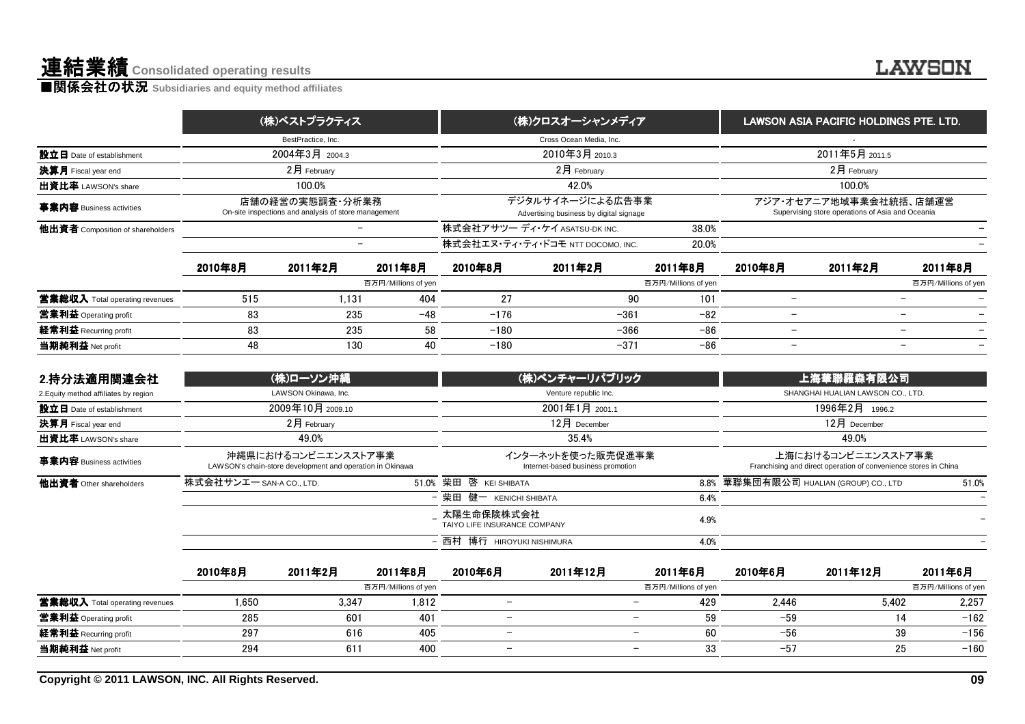**■関係会社の状況 S**ubsidiaries and equity method affiliates

|                                  | (株)ベストプラクティス                                                            | (株)クロスオーシャンメディア                                             | LAWSON ASIA PACIFIC HOLDINGS PTE. LTD.                                     |
|----------------------------------|-------------------------------------------------------------------------|-------------------------------------------------------------|----------------------------------------------------------------------------|
|                                  | BestPractice, Inc.                                                      | Cross Ocean Media, Inc.                                     |                                                                            |
| 設立日 Date of establishment        | 2004年3月 2004.3                                                          | 2010年3月 2010.3                                              | 2011年5月 2011.5                                                             |
| 決算月 Fiscal year end              | $2$ 月 February                                                          | $2$ 月 February                                              | $2$ 月 February                                                             |
| 出資比率 LAWSON's share              | 100.0%                                                                  | 42.0%                                                       | 100.0%                                                                     |
| 事業内容 Business activities         | 店舗の経営の実態調査・分析業務<br>On-site inspections and analysis of store management | デジタルサイネージによる広告事業<br>Advertising business by digital signage | アジア・オセアニア地域事業会社統括、店舗運営<br>Supervising store operations of Asia and Oceania |
| 他出資者 Composition of shareholders |                                                                         | 株式会社アサツー ディ ケイ ASATSU-DK INC.<br>38.0%                      |                                                                            |
|                                  |                                                                         | 株式会社エヌ・ティ・ティ・ドコモ NTT DOCOMO. INC.<br>20.0%                  |                                                                            |
|                                  |                                                                         |                                                             |                                                                            |

| 事業内容 Business activities              |         | 店舗の経営の実態調査・分析業務<br>On-site inspections and analysis of store management |                     |         | デジタルサイネージによる広告事業<br>Advertising business by digital signage | アジア・オセアニア地域事業会社統括、店舗運営<br>Supervising store operations of Asia and Oceania |                          |                                   |                     |
|---------------------------------------|---------|-------------------------------------------------------------------------|---------------------|---------|-------------------------------------------------------------|----------------------------------------------------------------------------|--------------------------|-----------------------------------|---------------------|
| 他出資者 Composition of shareholders      |         |                                                                         |                     |         | 株式会社アサツー ディ ケイ ASATSU-DK INC.                               | 38.0%                                                                      |                          |                                   |                     |
|                                       |         |                                                                         |                     |         | 株式会社エヌ・ティ・ティ・ドコモ NTT DOCOMO. INC.                           | 20.0%                                                                      |                          |                                   |                     |
|                                       | 2010年8月 | 2011年2月                                                                 | 2011年8月             | 2010年8月 | 2011年2月                                                     | 2011年8月                                                                    | 2010年8月                  | 2011年2月                           | 2011年8月             |
|                                       |         |                                                                         | 百万円/Millions of yen |         |                                                             | 百万円/Millions of yen                                                        |                          |                                   | 百万円/Millions of yen |
| 営業総収入 Total operating revenues        | 515     | 1.131                                                                   | 404                 | 27      | 90                                                          | 101                                                                        |                          |                                   |                     |
| 営業利益 Operating profit                 | 83      | 235                                                                     | $-48$               | $-176$  | $-361$                                                      | $-82$                                                                      |                          |                                   |                     |
| 経常利益 Recurring profit                 | 83      | 235                                                                     | 58                  | $-180$  | $-366$                                                      | $-86$                                                                      |                          |                                   |                     |
| 当期純利益 Net profit                      | 48      | 130                                                                     | 40                  | $-180$  | $-371$                                                      | $-86$                                                                      | $\overline{\phantom{0}}$ |                                   |                     |
| 2.持分法適用関連会社                           |         | (株)ローソン沖縄                                                               |                     |         | (株)ベンチャーリパブリック                                              |                                                                            |                          | <b>﹐上海華聯羅森有限公司<sup>﹐</sup></b>    |                     |
| 2. Equity method affiliates by region |         | LAWSON Okinawa, Inc.                                                    |                     |         | Venture republic Inc.                                       |                                                                            |                          | SHANGHAI HUALIAN LAWSON CO., LTD. |                     |

| 設立日 Date of establishment             |                          | 2004年3月 2004.3                                                                   |                     |                                            | 2010年3月 2010.3                                              |                     |                          | 2011年5月 2011.5                                                                        |                          |  |
|---------------------------------------|--------------------------|----------------------------------------------------------------------------------|---------------------|--------------------------------------------|-------------------------------------------------------------|---------------------|--------------------------|---------------------------------------------------------------------------------------|--------------------------|--|
| 決算月 Fiscal year end                   |                          | 2月 February                                                                      |                     |                                            | 2月 February                                                 |                     | 2月 February              |                                                                                       |                          |  |
| 出資比率 LAWSON's share                   |                          | 100.0%                                                                           |                     |                                            | 42.0%                                                       |                     |                          | 100.0%                                                                                |                          |  |
| 事業内容 Business activities              |                          | 店舗の経営の実態調査・分析業務<br>On-site inspections and analysis of store management          |                     |                                            | デジタルサイネージによる広告事業<br>Advertising business by digital signage |                     |                          | アジア・オセアニア地域事業会社統括、店舗運営<br>Supervising store operations of Asia and Oceania            |                          |  |
| 他出資者 Composition of shareholders      |                          |                                                                                  |                     |                                            | 株式会社アサツー ディ・ケイ ASATSU-DK INC.                               | 38.0%               |                          |                                                                                       |                          |  |
|                                       |                          | $\overline{\phantom{0}}$                                                         |                     |                                            | 株式会社エヌ・ティ・ティ・ドコモ NTT DOCOMO, INC.                           | 20.0%               |                          |                                                                                       |                          |  |
|                                       | 2010年8月                  | 2011年2月                                                                          | 2011年8月             | 2010年8月                                    | 2011年2月                                                     | 2011年8月             | 2010年8月                  | 2011年2月                                                                               | 2011年8月                  |  |
|                                       |                          |                                                                                  | 百万円/Millions of yen |                                            |                                                             | 百万円/Millions of yen |                          |                                                                                       | 百万円/Millions of yen      |  |
| 営業総収入 Total operating revenues        | 515                      | 1,131                                                                            | 404                 | 27                                         | 90                                                          | 101                 | $\overline{\phantom{0}}$ |                                                                                       | $\overline{\phantom{0}}$ |  |
| 営業利益 Operating profit                 | 83                       | 235                                                                              | $-48$               | $-176$                                     | $-361$                                                      | $-82$               | $\overline{\phantom{m}}$ |                                                                                       | $\overline{\phantom{m}}$ |  |
| 経常利益 Recurring profit                 | 83                       | 235                                                                              | 58                  | $-180$                                     | $-366$                                                      | $-86$               | $\overline{\phantom{m}}$ |                                                                                       | $\overline{\phantom{m}}$ |  |
| 当期純利益 Net profit                      | 48                       | 130                                                                              | 40                  | $-180$                                     | $-371$                                                      | $-86$               | $\overline{\phantom{0}}$ |                                                                                       | $\overline{\phantom{m}}$ |  |
| 2.持分法適用関連会社                           |                          | (株)ローソン沖縄                                                                        |                     |                                            | <u>(株)ベンチャーリパブリック</u>                                       |                     |                          | 上海華聯羅森有限公司                                                                            |                          |  |
| 2. Equity method affiliates by region |                          | LAWSON Okinawa, Inc.                                                             |                     |                                            | Venture republic Inc.                                       |                     |                          | SHANGHAI HUALIAN LAWSON CO., LTD.                                                     |                          |  |
| 設立日 Date of establishment             |                          | 2009年10月 2009.10                                                                 |                     |                                            | 2001年1月 2001.1                                              |                     |                          | 1996年2月 1996.2                                                                        |                          |  |
| 決算月 Fiscal year end                   |                          | 2月 February                                                                      |                     |                                            | 12月 December                                                |                     |                          | 12月 December                                                                          |                          |  |
| 出資比率 LAWSON's share                   |                          | 49.0%                                                                            |                     |                                            | 35.4%                                                       |                     |                          | 49.0%                                                                                 |                          |  |
| 事業内容 Business activities              |                          | 沖縄県におけるコンビニエンスストア事業<br>LAWSON's chain-store development and operation in Okinawa |                     |                                            | インターネットを使った販売促進事業<br>Internet-based business promotion      |                     |                          | 上海におけるコンビニエンスストア事業<br>Franchising and direct operation of convenience stores in China |                          |  |
| 他出資者 Other shareholders               | 株式会社サンエー SAN-A CO., LTD. |                                                                                  |                     | 51.0% 柴田 啓 KEI SHIBATA                     |                                                             |                     |                          | 8.8% 華聯集団有限公司 HUALIAN (GROUP) CO., LTD                                                | 51.0%                    |  |
|                                       |                          |                                                                                  |                     | - 柴田 健一 KENICHI SHIBATA                    |                                                             | 6.4%                |                          |                                                                                       |                          |  |
|                                       |                          |                                                                                  |                     | 太陽生命保険株式会社<br>TAIYO LIFE INSURANCE COMPANY |                                                             | 4.9%                |                          |                                                                                       |                          |  |
|                                       |                          |                                                                                  |                     | - 西村 博行 HIROYUKI NISHIMURA                 |                                                             | 4.0%                |                          |                                                                                       |                          |  |
|                                       | 2010年8月                  | 2011年2月                                                                          | 2011年8月             | 2010年6月                                    | 2011年12月                                                    | 2011年6月             | 2010年6月                  | 2011年12月                                                                              | 2011年6月                  |  |

|                                | 2010年8月 | 2011年2月 | 2011年8月             | 2010年6月                  | 2011年12月 |                          | 2011年6月             | 2010年6月 | 2011年12月 | 2011年6月             |
|--------------------------------|---------|---------|---------------------|--------------------------|----------|--------------------------|---------------------|---------|----------|---------------------|
|                                |         |         | 百万円/Millions of yen |                          |          |                          | 百万円/Millions of yen |         |          | 百万円/Millions of yen |
| 當業総収入 Total operating revenues | 1.650   | 3,347   | 1,812               | $\overline{\phantom{0}}$ |          | $\overline{\phantom{0}}$ | 429                 | 2.446   | 5.402    | 2,257               |
| <b>営業利益</b> Operating profit   | 285     | 601     | 401                 | $\overline{\phantom{0}}$ |          | $\overline{\phantom{0}}$ | 59                  | $-59$   |          | $-162$              |
| 経常利益 Recurring profit          | 297     | 616     | 405                 | $\overline{\phantom{0}}$ |          | $\overline{\phantom{0}}$ | 60                  | $-56$   | 39       | $-156$              |
| 当期純利益 Net profit               | 294     | 61      | 400                 | $\overline{\phantom{0}}$ |          | $\overline{\phantom{0}}$ | 33                  | $-5/$   | 25       | $-160$              |

**Copyright © 2011 LAWSON, INC. All Rights Reserved.**

**LAWSON**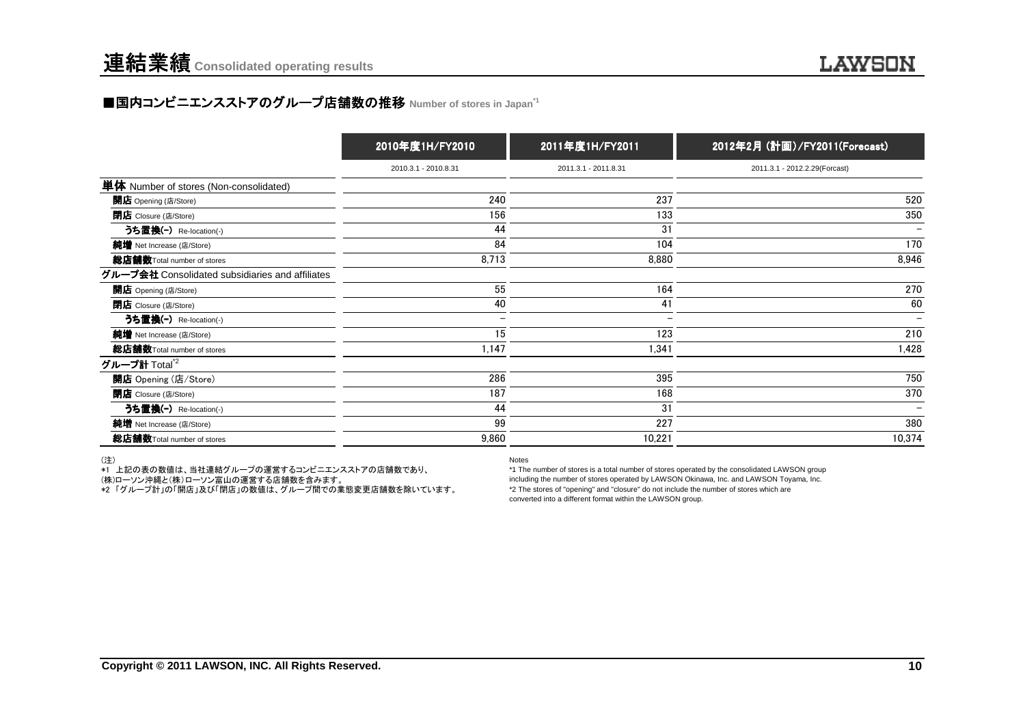### ■国内コンビニエンスストアのグループ店舗数の推移 Number of stores in Japan<sup>→1</sup>

|                                                 | 2010年度1H/FY2010          | 2011年度1H/FY2011      | 2012年2月 (計画)/FY2011(Forecast) |
|-------------------------------------------------|--------------------------|----------------------|-------------------------------|
|                                                 | 2010.3.1 - 2010.8.31     | 2011.3.1 - 2011.8.31 | 2011.3.1 - 2012.2.29(Forcast) |
| 単体 Number of stores (Non-consolidated)          |                          |                      |                               |
| 開店 Opening (店/Store)                            | 240                      | 237                  | 520                           |
| <b>閉店</b> Closure (店/Store)                     | 156                      | 133                  | 350                           |
| うち置換(-) Re-location(-)                          | 44                       | 31                   | $\overline{\phantom{0}}$      |
| 純増 Net Increase (店/Store)                       | 84                       | 104                  | 170                           |
| 総店舗数Total number of stores                      | 8,713                    | 8,880                | 8,946                         |
| グループ会社 Consolidated subsidiaries and affiliates |                          |                      |                               |
| 開店 Opening (店/Store)                            | 55                       | 164                  | 270                           |
| <b>閉店</b> Closure (店/Store)                     | 40                       | 41                   | 60                            |
| うち置換(-) Re-location(-)                          | $\overline{\phantom{m}}$ |                      |                               |
| 純増 Net Increase (店/Store)                       | 15                       | 123                  | 210                           |
| 総店舗数Total number of stores                      | 1,147                    | 1,341                | 1,428                         |
| グループ計 Total <sup>*2</sup>                       |                          |                      |                               |
| 開店 Opening (店/Store)                            | 286                      | 395                  | 750                           |
| <b>閉店</b> Closure (店/Store)                     | 187                      | 168                  | 370                           |
| うち置換(-) Re-location(-)                          | 44                       | 31                   | $\overline{\phantom{0}}$      |
| 純増 Net Increase (店/Store)                       | 99                       | 227                  | 380                           |
| 総店舗数Total number of stores                      | 9,860                    | 10,221               | 10,374                        |

(注)

\*1 上記の表の数値は、当社連結グループの運営するコンビニエンスストアの店舗数であり、

(株)ローソン沖縄と(株)ローソン富山の運営する店舗数を含みます。

\*2 「グループ計」の「開店」及び「閉店」の数値は、グループ間での業態変更店舗数を除いています。

Notes

 \*1 The number of stores is a total number of stores operated by the consolidated LAWSON group including the number of stores operated by LAWSON Okinawa, Inc. and LAWSON Toyama, Inc.\*2 The stores of "opening" and "closure" do not include the number of stores which areconverted into a different format within the LAWSON group.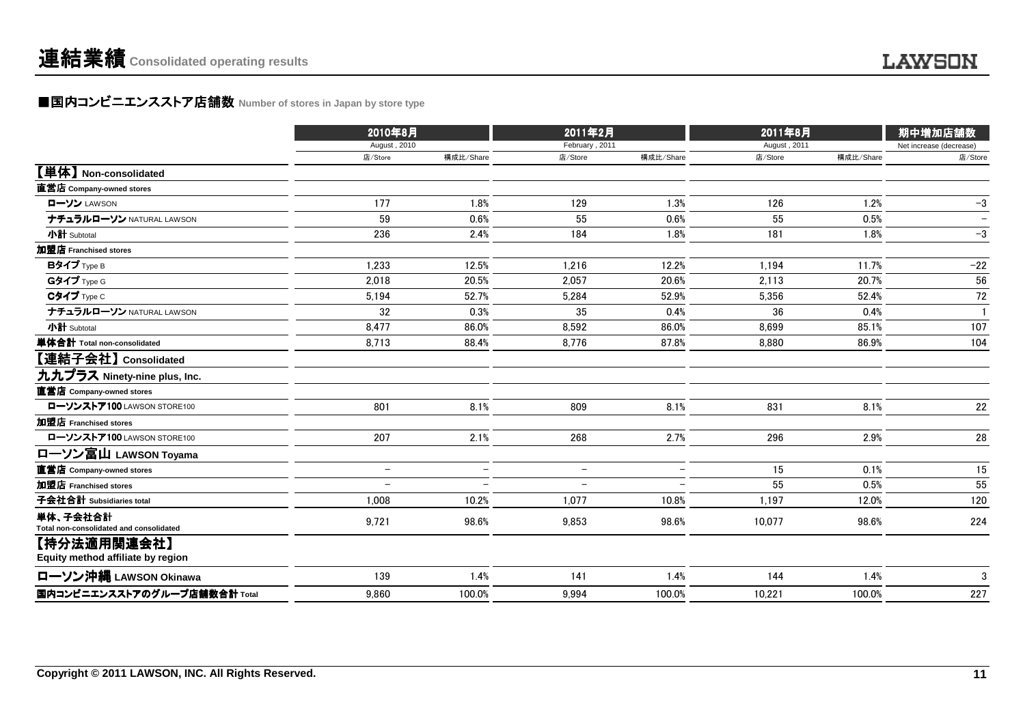### ■国内コンビニエンスストア店舗数 Number of stores in Japan by store type<br> **■国内コンビニエンスストア店舗数** Number of stores in Japan by store type

|                                                     | 2010年8月                  |                          | 2011年2月                  |                          | 2011年8月      |           | 期中増加店舗数                 |
|-----------------------------------------------------|--------------------------|--------------------------|--------------------------|--------------------------|--------------|-----------|-------------------------|
|                                                     | August, 2010             |                          | February, 2011           |                          | August, 2011 |           | Net increase (decrease) |
|                                                     | 店/Store                  | 構成比/Share                | 店/Store                  | 構成比/Share                | 店/Store      | 構成比/Share | 店/Store                 |
| 【単体】 Non-consolidated                               |                          |                          |                          |                          |              |           |                         |
| 直営店 Company-owned stores                            |                          |                          |                          |                          |              |           |                         |
| ローソン LAWSON                                         | 177                      | 1.8%                     | 129                      | 1.3%                     | 126          | 1.2%      | $-3$                    |
| ナチュラルローソン NATURAL LAWSON                            | 59                       | 0.6%                     | 55                       | 0.6%                     | 55           | 0.5%      |                         |
| 小計 Subtotal                                         | 236                      | 2.4%                     | 184                      | 1.8%                     | 181          | 1.8%      | $-3$                    |
| 加盟店 Franchised stores                               |                          |                          |                          |                          |              |           |                         |
| Bタイプ Type B                                         | 1,233                    | 12.5%                    | 1,216                    | 12.2%                    | 1,194        | 11.7%     | $-22$                   |
| Gタイプ Type G                                         | 2,018                    | 20.5%                    | 2,057                    | 20.6%                    | 2,113        | 20.7%     | 56                      |
| Cタイプ Type C                                         | 5,194                    | 52.7%                    | 5,284                    | 52.9%                    | 5,356        | 52.4%     | 72                      |
| ナチュラルローソン NATURAL LAWSON                            | 32                       | 0.3%                     | 35                       | 0.4%                     | 36           | 0.4%      | $\mathbf{1}$            |
| 小計 Subtotal                                         | 8,477                    | 86.0%                    | 8,592                    | 86.0%                    | 8,699        | 85.1%     | 107                     |
| 単体合計 Total non-consolidated                         | 8.713                    | 88.4%                    | 8.776                    | 87.8%                    | 8.880        | 86.9%     | 104                     |
| 【連結子会社】 Consolidated                                |                          |                          |                          |                          |              |           |                         |
| 九九プラス Ninety-nine plus, Inc.                        |                          |                          |                          |                          |              |           |                         |
| 直営店 Company-owned stores                            |                          |                          |                          |                          |              |           |                         |
| ローソンストア100 LAWSON STORE100                          | 801                      | 8.1%                     | 809                      | 8.1%                     | 831          | 8.1%      | 22                      |
| 加盟店 Franchised stores                               |                          |                          |                          |                          |              |           |                         |
| ローソンストア100 LAWSON STORE100                          | 207                      | 2.1%                     | 268                      | 2.7%                     | 296          | 2.9%      | 28                      |
| ローソン富山 LAWSON Toyama                                |                          |                          |                          |                          |              |           |                         |
| 直営店 Company-owned stores                            | $\overline{\phantom{m}}$ | $\overline{\phantom{0}}$ | $\qquad \qquad -$        | $\overline{\phantom{m}}$ | 15           | 0.1%      | 15                      |
| 加盟店 Franchised stores                               |                          |                          | $\overline{\phantom{0}}$ |                          | 55           | 0.5%      | 55                      |
| 子会社合計 Subsidiaries total                            | 1,008                    | 10.2%                    | 1,077                    | 10.8%                    | 1,197        | 12.0%     | 120                     |
| 単体、子会社合計<br>Total non-consolidated and consolidated | 9,721                    | 98.6%                    | 9,853                    | 98.6%                    | 10,077       | 98.6%     | 224                     |
| 【持分法適用関連会社】<br>Equity method affiliate by region    |                          |                          |                          |                          |              |           |                         |
| ローソン沖縄 LAWSON Okinawa                               | 139                      | 1.4%                     | 141                      | 1.4%                     | 144          | 1.4%      | $\mathbf{3}$            |
| 国内コンビニエンスストアのグループ店舗数合計 Total                        | 9,860                    | 100.0%                   | 9.994                    | 100.0%                   | 10,221       | 100.0%    | 227                     |
|                                                     |                          |                          |                          |                          |              |           |                         |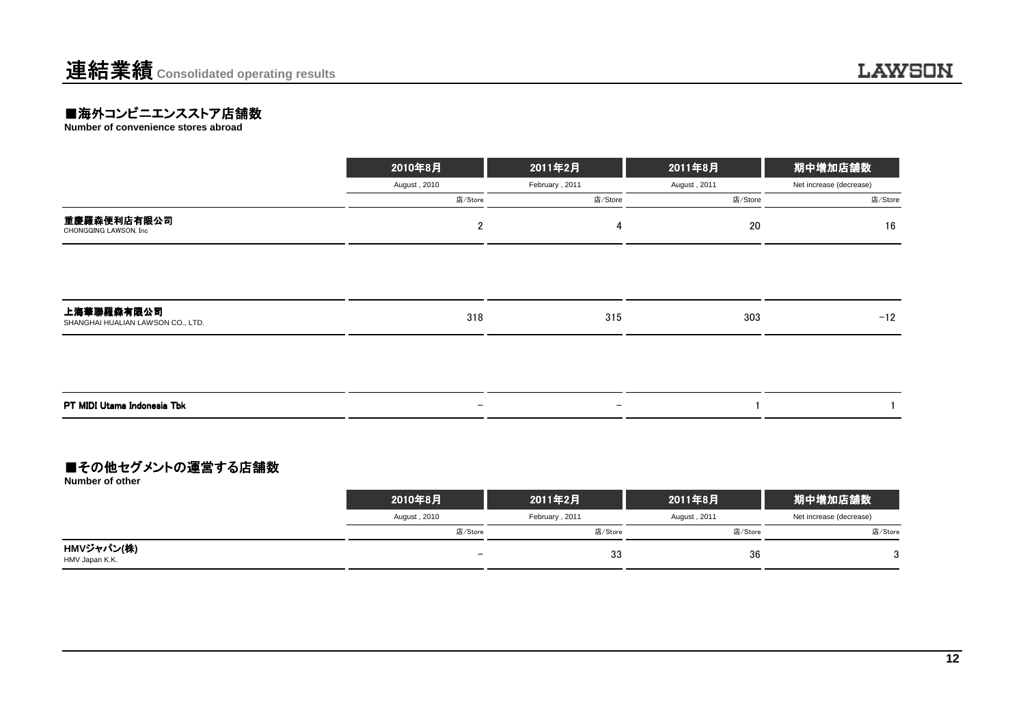### **■海外コンビニエンスストア店舗数**<br>Number of convenience stores abroad

|                                                 | 2010年8月                  | 2011年2月                  | 2011年8月      | 期中増加店舗数                 |
|-------------------------------------------------|--------------------------|--------------------------|--------------|-------------------------|
|                                                 | August, 2010             | February, 2011           | August, 2011 | Net increase (decrease) |
|                                                 | 店/Store                  | 店/Store                  | 店/Store      | 店/Store                 |
| 重慶羅森便利店有限公司<br>CHONGQING LAWSON, Inc            | $\overline{2}$           | 4                        | 20           | 16                      |
|                                                 |                          |                          |              |                         |
| 上海華聯羅森有限公司<br>SHANGHAI HUALIAN LAWSON CO., LTD. | 318                      | 315                      | 303          | $-12$                   |
|                                                 |                          |                          |              |                         |
| PT MIDI Utama Indonesia Tbk                     | $\overline{\phantom{m}}$ | $\overline{\phantom{0}}$ |              |                         |

#### ■その他セグメントの運営する店舗数

**Number of other**

|                              | 2010年8月                  | 2011年2月        | 2011年8月      | 期中増加店舗数                 |
|------------------------------|--------------------------|----------------|--------------|-------------------------|
|                              | August, 2010             | February, 2011 | August, 2011 | Net increase (decrease) |
|                              | 店/Store                  | 店/Store        | 店/Store      | 店/Store                 |
| HMVジャパン(株)<br>HMV Japan K.K. | $\overline{\phantom{0}}$ | 33             | 36           | ◠<br>٠J                 |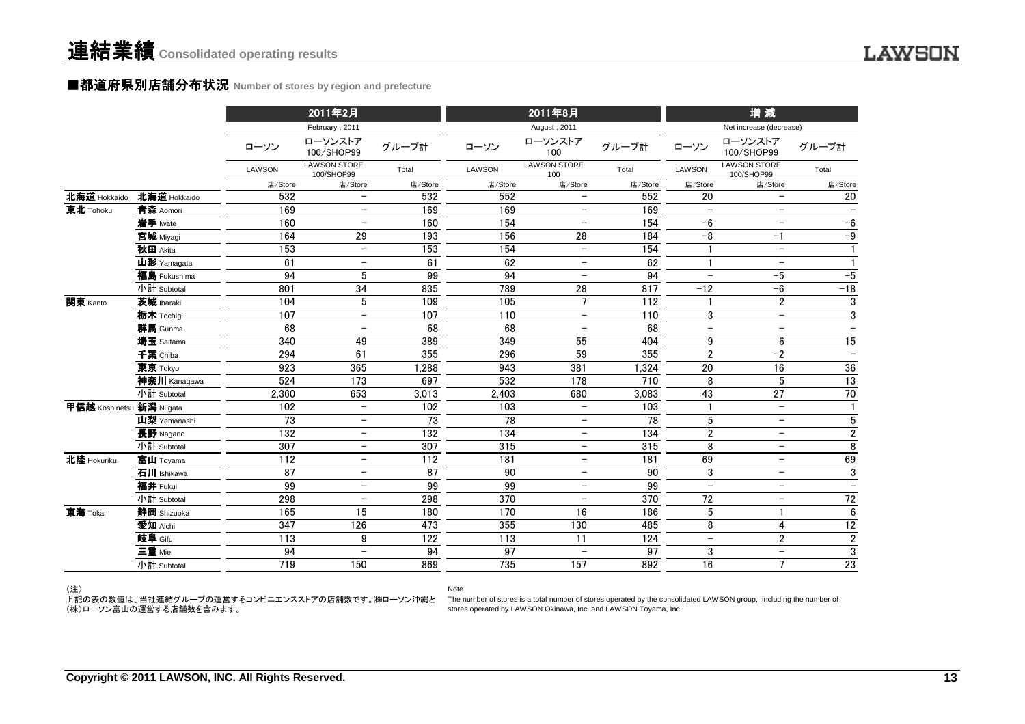#### ■都道府県別店舗分布状況 Number of stores by region and prefecture

| February, 2011<br>August, 2011<br>Net increase (decrease)<br>ローソンストア<br>ローソンストア<br>ローソンストア<br>グループ計<br>グループ計<br>グループ計<br>ローソン<br>ローソン<br>ローソン<br>100/SHOP99<br>100<br>100/SHOP99<br><b>LAWSON STORE</b><br><b>LAWSON STORE</b><br><b>LAWSON STORE</b><br>Total<br>LAWSON<br>Total<br>LAWSON<br>LAWSON<br>Total<br>100/SHOP99<br>100/SHOP99<br>100<br>店/Store<br>店/Store<br>店/Store<br>店/Store<br>店/Store<br>店/Store<br>店/Store<br>店/Store<br>店/Store<br>北海道 Hokkaido<br>532<br>552<br>北海道 Hokkaido<br>532<br>552<br>20<br>20<br>$\overline{\phantom{0}}$<br>$\overline{\phantom{0}}$<br>$\qquad \qquad -$<br>169<br>東北 Tohoku<br>青森 Aomori<br>169<br>169<br>169<br>$\overline{\phantom{0}}$<br>$\overline{\phantom{0}}$<br>$\qquad \qquad -$<br>$\overline{\phantom{m}}$<br>154<br>154<br>岩手 Iwate<br>160<br>160<br>$-6$<br>$-6$<br>$\overline{\phantom{0}}$<br>$\overline{\phantom{m}}$<br>$-9$<br>164<br>29<br>156<br>184<br>$-8$<br>宮城 Miyagi<br>193<br>28<br>$-1$<br>秋田 Akita<br>153<br>153<br>154<br>154<br>$\overline{\phantom{0}}$<br>$\!-$<br>$\mathbf{1}$<br>$\overline{\phantom{0}}$<br>山形 Yamagata<br>61<br>61<br>62<br>62<br>$\mathbf{1}$<br>1<br>$\overline{\phantom{0}}$<br>$\overline{\phantom{0}}$<br>$\qquad \qquad -$<br>$-5$<br>94<br>5<br>99<br>94<br>94<br>福島 Fukushima<br>$-5$<br>$\overline{\phantom{m}}$<br>$\overline{\phantom{0}}$<br>34<br>$-18$<br>小計 Subtotal<br>801<br>835<br>789<br>28<br>817<br>$-12$<br>$-6$<br>3<br>関東 Kanto<br>茨城 Ibaraki<br>5<br>105<br>$\overline{7}$<br>$\overline{2}$<br>104<br>109<br>112<br>1<br>$\overline{3}$<br>3<br>107<br>107<br>110<br>110<br>栃木 Tochigi<br>$\overline{\phantom{0}}$<br>$\overline{\phantom{m}}$<br>$\overline{\phantom{a}}$<br>68<br>68<br>群馬 Gunma<br>68<br>68<br>$\overline{\phantom{0}}$<br>$\overline{\phantom{m}}$<br>$\qquad \qquad -$<br>$\overline{\phantom{m}}$<br>$\qquad \qquad -$<br>15<br>340<br>349<br>埼玉 Saitama<br>49<br>389<br>55<br>404<br>9<br>6<br>千葉 Chiba<br>61<br>59<br>$\overline{2}$<br>$-2$<br>294<br>355<br>296<br>355<br>$-$<br>923<br>365<br>943<br>20<br>16<br>36<br>東京 Tokyo<br>1,288<br>381<br>1,324<br>$\overline{173}$<br>8<br>5<br>$\overline{13}$<br>524<br>697<br>532<br>178<br>710<br>神奈川 Kanagawa<br>$\overline{27}$<br>小計 Subtotal<br>653<br>3,013<br>2,403<br>3,083<br>43<br>70<br>2.360<br>680<br>甲信越 Koshinetsu 新潟 Niigata<br>102<br>102<br>103<br>103<br>$\overline{\phantom{m}}$<br>$\mathbf{1}$<br>$\qquad \qquad -$<br>$\overline{\phantom{a}}$<br>$\sqrt{5}$<br>5<br>73<br>73<br>78<br>78<br>山梨 Yamanashi<br>$\overline{\phantom{0}}$<br>$\overline{\phantom{a}}$<br>$\qquad \qquad -$<br>$\mathbf{2}$<br>132<br>132<br>134<br>134<br>$\overline{2}$<br>長野 Nagano<br>$\overline{\phantom{m}}$<br>$\overline{\phantom{m}}$<br>$\overline{8}$<br>315<br>307<br>315<br>8<br>小計 Subtotal<br>307<br>$\overline{\phantom{0}}$<br>$\overline{\phantom{0}}$<br>69<br>北陸 Hokuriku<br>112<br>181<br>181<br>69<br>富山 Toyama<br>112<br>$\overline{\phantom{0}}$<br>$\overline{\phantom{0}}$<br>$\overline{\phantom{0}}$<br>$\overline{3}$<br>$\overline{87}$<br>90<br>3<br>87<br>90<br>石川 Ishikawa<br>$\overline{\phantom{0}}$<br>$\qquad \qquad -$<br>$\overline{\phantom{m}}$<br>99<br>99<br>福井 Fukui<br>99<br>99<br>$\equiv$<br>$\overline{\phantom{a}}$<br>$\qquad \qquad -$<br>$\overline{\phantom{0}}$<br>370<br>370<br>$72\,$<br>小計 Subtotal<br>298<br>298<br>72<br>$\overline{\phantom{0}}$<br>$\overline{\phantom{0}}$<br>$\overline{\phantom{m}}$<br>6<br>静岡 Shizuoka<br>180<br>186<br>東海 Tokai<br>165<br>15<br>170<br>16<br>5<br>$\overline{12}$<br>473<br>355<br>8<br>愛知 Aichi<br>347<br>126<br>130<br>485<br>4<br>$\overline{2}$<br>$\mathbf{2}$<br>岐阜 Gifu<br>122<br>113<br>124<br>113<br>9<br>11<br>$\qquad \qquad -$<br>$\mathfrak{3}$<br>三重 Mie<br>94<br>97<br>97<br>94<br>3<br>$\overline{\phantom{m}}$<br>$\overline{\phantom{a}}$<br>$\qquad \qquad -$<br>$\overline{7}$<br>小計 Subtotal<br>719<br>150<br>735<br>157<br>892<br>16<br>23<br>869 |  | 2011年2月 |  | 2011年8月 |  | 增減 |  |
|---------------------------------------------------------------------------------------------------------------------------------------------------------------------------------------------------------------------------------------------------------------------------------------------------------------------------------------------------------------------------------------------------------------------------------------------------------------------------------------------------------------------------------------------------------------------------------------------------------------------------------------------------------------------------------------------------------------------------------------------------------------------------------------------------------------------------------------------------------------------------------------------------------------------------------------------------------------------------------------------------------------------------------------------------------------------------------------------------------------------------------------------------------------------------------------------------------------------------------------------------------------------------------------------------------------------------------------------------------------------------------------------------------------------------------------------------------------------------------------------------------------------------------------------------------------------------------------------------------------------------------------------------------------------------------------------------------------------------------------------------------------------------------------------------------------------------------------------------------------------------------------------------------------------------------------------------------------------------------------------------------------------------------------------------------------------------------------------------------------------------------------------------------------------------------------------------------------------------------------------------------------------------------------------------------------------------------------------------------------------------------------------------------------------------------------------------------------------------------------------------------------------------------------------------------------------------------------------------------------------------------------------------------------------------------------------------------------------------------------------------------------------------------------------------------------------------------------------------------------------------------------------------------------------------------------------------------------------------------------------------------------------------------------------------------------------------------------------------------------------------------------------------------------------------------------------------------------------------------------------------------------------------------------------------------------------------------------------------------------------------------------------------------------------------------------------------------------------------------------------------------------------------------------------------------------------------------------------------------------------------------------------------------------------------------------------------------------------------------------------------------------------------------------------------------------------------------------------------------------------------------------------------------------------------------------------------------------------------------------|--|---------|--|---------|--|----|--|
|                                                                                                                                                                                                                                                                                                                                                                                                                                                                                                                                                                                                                                                                                                                                                                                                                                                                                                                                                                                                                                                                                                                                                                                                                                                                                                                                                                                                                                                                                                                                                                                                                                                                                                                                                                                                                                                                                                                                                                                                                                                                                                                                                                                                                                                                                                                                                                                                                                                                                                                                                                                                                                                                                                                                                                                                                                                                                                                                                                                                                                                                                                                                                                                                                                                                                                                                                                                                                                                                                                                                                                                                                                                                                                                                                                                                                                                                                                                                                                                       |  |         |  |         |  |    |  |
|                                                                                                                                                                                                                                                                                                                                                                                                                                                                                                                                                                                                                                                                                                                                                                                                                                                                                                                                                                                                                                                                                                                                                                                                                                                                                                                                                                                                                                                                                                                                                                                                                                                                                                                                                                                                                                                                                                                                                                                                                                                                                                                                                                                                                                                                                                                                                                                                                                                                                                                                                                                                                                                                                                                                                                                                                                                                                                                                                                                                                                                                                                                                                                                                                                                                                                                                                                                                                                                                                                                                                                                                                                                                                                                                                                                                                                                                                                                                                                                       |  |         |  |         |  |    |  |
|                                                                                                                                                                                                                                                                                                                                                                                                                                                                                                                                                                                                                                                                                                                                                                                                                                                                                                                                                                                                                                                                                                                                                                                                                                                                                                                                                                                                                                                                                                                                                                                                                                                                                                                                                                                                                                                                                                                                                                                                                                                                                                                                                                                                                                                                                                                                                                                                                                                                                                                                                                                                                                                                                                                                                                                                                                                                                                                                                                                                                                                                                                                                                                                                                                                                                                                                                                                                                                                                                                                                                                                                                                                                                                                                                                                                                                                                                                                                                                                       |  |         |  |         |  |    |  |
|                                                                                                                                                                                                                                                                                                                                                                                                                                                                                                                                                                                                                                                                                                                                                                                                                                                                                                                                                                                                                                                                                                                                                                                                                                                                                                                                                                                                                                                                                                                                                                                                                                                                                                                                                                                                                                                                                                                                                                                                                                                                                                                                                                                                                                                                                                                                                                                                                                                                                                                                                                                                                                                                                                                                                                                                                                                                                                                                                                                                                                                                                                                                                                                                                                                                                                                                                                                                                                                                                                                                                                                                                                                                                                                                                                                                                                                                                                                                                                                       |  |         |  |         |  |    |  |
|                                                                                                                                                                                                                                                                                                                                                                                                                                                                                                                                                                                                                                                                                                                                                                                                                                                                                                                                                                                                                                                                                                                                                                                                                                                                                                                                                                                                                                                                                                                                                                                                                                                                                                                                                                                                                                                                                                                                                                                                                                                                                                                                                                                                                                                                                                                                                                                                                                                                                                                                                                                                                                                                                                                                                                                                                                                                                                                                                                                                                                                                                                                                                                                                                                                                                                                                                                                                                                                                                                                                                                                                                                                                                                                                                                                                                                                                                                                                                                                       |  |         |  |         |  |    |  |
|                                                                                                                                                                                                                                                                                                                                                                                                                                                                                                                                                                                                                                                                                                                                                                                                                                                                                                                                                                                                                                                                                                                                                                                                                                                                                                                                                                                                                                                                                                                                                                                                                                                                                                                                                                                                                                                                                                                                                                                                                                                                                                                                                                                                                                                                                                                                                                                                                                                                                                                                                                                                                                                                                                                                                                                                                                                                                                                                                                                                                                                                                                                                                                                                                                                                                                                                                                                                                                                                                                                                                                                                                                                                                                                                                                                                                                                                                                                                                                                       |  |         |  |         |  |    |  |
|                                                                                                                                                                                                                                                                                                                                                                                                                                                                                                                                                                                                                                                                                                                                                                                                                                                                                                                                                                                                                                                                                                                                                                                                                                                                                                                                                                                                                                                                                                                                                                                                                                                                                                                                                                                                                                                                                                                                                                                                                                                                                                                                                                                                                                                                                                                                                                                                                                                                                                                                                                                                                                                                                                                                                                                                                                                                                                                                                                                                                                                                                                                                                                                                                                                                                                                                                                                                                                                                                                                                                                                                                                                                                                                                                                                                                                                                                                                                                                                       |  |         |  |         |  |    |  |
|                                                                                                                                                                                                                                                                                                                                                                                                                                                                                                                                                                                                                                                                                                                                                                                                                                                                                                                                                                                                                                                                                                                                                                                                                                                                                                                                                                                                                                                                                                                                                                                                                                                                                                                                                                                                                                                                                                                                                                                                                                                                                                                                                                                                                                                                                                                                                                                                                                                                                                                                                                                                                                                                                                                                                                                                                                                                                                                                                                                                                                                                                                                                                                                                                                                                                                                                                                                                                                                                                                                                                                                                                                                                                                                                                                                                                                                                                                                                                                                       |  |         |  |         |  |    |  |
|                                                                                                                                                                                                                                                                                                                                                                                                                                                                                                                                                                                                                                                                                                                                                                                                                                                                                                                                                                                                                                                                                                                                                                                                                                                                                                                                                                                                                                                                                                                                                                                                                                                                                                                                                                                                                                                                                                                                                                                                                                                                                                                                                                                                                                                                                                                                                                                                                                                                                                                                                                                                                                                                                                                                                                                                                                                                                                                                                                                                                                                                                                                                                                                                                                                                                                                                                                                                                                                                                                                                                                                                                                                                                                                                                                                                                                                                                                                                                                                       |  |         |  |         |  |    |  |
|                                                                                                                                                                                                                                                                                                                                                                                                                                                                                                                                                                                                                                                                                                                                                                                                                                                                                                                                                                                                                                                                                                                                                                                                                                                                                                                                                                                                                                                                                                                                                                                                                                                                                                                                                                                                                                                                                                                                                                                                                                                                                                                                                                                                                                                                                                                                                                                                                                                                                                                                                                                                                                                                                                                                                                                                                                                                                                                                                                                                                                                                                                                                                                                                                                                                                                                                                                                                                                                                                                                                                                                                                                                                                                                                                                                                                                                                                                                                                                                       |  |         |  |         |  |    |  |
|                                                                                                                                                                                                                                                                                                                                                                                                                                                                                                                                                                                                                                                                                                                                                                                                                                                                                                                                                                                                                                                                                                                                                                                                                                                                                                                                                                                                                                                                                                                                                                                                                                                                                                                                                                                                                                                                                                                                                                                                                                                                                                                                                                                                                                                                                                                                                                                                                                                                                                                                                                                                                                                                                                                                                                                                                                                                                                                                                                                                                                                                                                                                                                                                                                                                                                                                                                                                                                                                                                                                                                                                                                                                                                                                                                                                                                                                                                                                                                                       |  |         |  |         |  |    |  |
|                                                                                                                                                                                                                                                                                                                                                                                                                                                                                                                                                                                                                                                                                                                                                                                                                                                                                                                                                                                                                                                                                                                                                                                                                                                                                                                                                                                                                                                                                                                                                                                                                                                                                                                                                                                                                                                                                                                                                                                                                                                                                                                                                                                                                                                                                                                                                                                                                                                                                                                                                                                                                                                                                                                                                                                                                                                                                                                                                                                                                                                                                                                                                                                                                                                                                                                                                                                                                                                                                                                                                                                                                                                                                                                                                                                                                                                                                                                                                                                       |  |         |  |         |  |    |  |
|                                                                                                                                                                                                                                                                                                                                                                                                                                                                                                                                                                                                                                                                                                                                                                                                                                                                                                                                                                                                                                                                                                                                                                                                                                                                                                                                                                                                                                                                                                                                                                                                                                                                                                                                                                                                                                                                                                                                                                                                                                                                                                                                                                                                                                                                                                                                                                                                                                                                                                                                                                                                                                                                                                                                                                                                                                                                                                                                                                                                                                                                                                                                                                                                                                                                                                                                                                                                                                                                                                                                                                                                                                                                                                                                                                                                                                                                                                                                                                                       |  |         |  |         |  |    |  |
|                                                                                                                                                                                                                                                                                                                                                                                                                                                                                                                                                                                                                                                                                                                                                                                                                                                                                                                                                                                                                                                                                                                                                                                                                                                                                                                                                                                                                                                                                                                                                                                                                                                                                                                                                                                                                                                                                                                                                                                                                                                                                                                                                                                                                                                                                                                                                                                                                                                                                                                                                                                                                                                                                                                                                                                                                                                                                                                                                                                                                                                                                                                                                                                                                                                                                                                                                                                                                                                                                                                                                                                                                                                                                                                                                                                                                                                                                                                                                                                       |  |         |  |         |  |    |  |
|                                                                                                                                                                                                                                                                                                                                                                                                                                                                                                                                                                                                                                                                                                                                                                                                                                                                                                                                                                                                                                                                                                                                                                                                                                                                                                                                                                                                                                                                                                                                                                                                                                                                                                                                                                                                                                                                                                                                                                                                                                                                                                                                                                                                                                                                                                                                                                                                                                                                                                                                                                                                                                                                                                                                                                                                                                                                                                                                                                                                                                                                                                                                                                                                                                                                                                                                                                                                                                                                                                                                                                                                                                                                                                                                                                                                                                                                                                                                                                                       |  |         |  |         |  |    |  |
|                                                                                                                                                                                                                                                                                                                                                                                                                                                                                                                                                                                                                                                                                                                                                                                                                                                                                                                                                                                                                                                                                                                                                                                                                                                                                                                                                                                                                                                                                                                                                                                                                                                                                                                                                                                                                                                                                                                                                                                                                                                                                                                                                                                                                                                                                                                                                                                                                                                                                                                                                                                                                                                                                                                                                                                                                                                                                                                                                                                                                                                                                                                                                                                                                                                                                                                                                                                                                                                                                                                                                                                                                                                                                                                                                                                                                                                                                                                                                                                       |  |         |  |         |  |    |  |
|                                                                                                                                                                                                                                                                                                                                                                                                                                                                                                                                                                                                                                                                                                                                                                                                                                                                                                                                                                                                                                                                                                                                                                                                                                                                                                                                                                                                                                                                                                                                                                                                                                                                                                                                                                                                                                                                                                                                                                                                                                                                                                                                                                                                                                                                                                                                                                                                                                                                                                                                                                                                                                                                                                                                                                                                                                                                                                                                                                                                                                                                                                                                                                                                                                                                                                                                                                                                                                                                                                                                                                                                                                                                                                                                                                                                                                                                                                                                                                                       |  |         |  |         |  |    |  |
|                                                                                                                                                                                                                                                                                                                                                                                                                                                                                                                                                                                                                                                                                                                                                                                                                                                                                                                                                                                                                                                                                                                                                                                                                                                                                                                                                                                                                                                                                                                                                                                                                                                                                                                                                                                                                                                                                                                                                                                                                                                                                                                                                                                                                                                                                                                                                                                                                                                                                                                                                                                                                                                                                                                                                                                                                                                                                                                                                                                                                                                                                                                                                                                                                                                                                                                                                                                                                                                                                                                                                                                                                                                                                                                                                                                                                                                                                                                                                                                       |  |         |  |         |  |    |  |
|                                                                                                                                                                                                                                                                                                                                                                                                                                                                                                                                                                                                                                                                                                                                                                                                                                                                                                                                                                                                                                                                                                                                                                                                                                                                                                                                                                                                                                                                                                                                                                                                                                                                                                                                                                                                                                                                                                                                                                                                                                                                                                                                                                                                                                                                                                                                                                                                                                                                                                                                                                                                                                                                                                                                                                                                                                                                                                                                                                                                                                                                                                                                                                                                                                                                                                                                                                                                                                                                                                                                                                                                                                                                                                                                                                                                                                                                                                                                                                                       |  |         |  |         |  |    |  |
|                                                                                                                                                                                                                                                                                                                                                                                                                                                                                                                                                                                                                                                                                                                                                                                                                                                                                                                                                                                                                                                                                                                                                                                                                                                                                                                                                                                                                                                                                                                                                                                                                                                                                                                                                                                                                                                                                                                                                                                                                                                                                                                                                                                                                                                                                                                                                                                                                                                                                                                                                                                                                                                                                                                                                                                                                                                                                                                                                                                                                                                                                                                                                                                                                                                                                                                                                                                                                                                                                                                                                                                                                                                                                                                                                                                                                                                                                                                                                                                       |  |         |  |         |  |    |  |
|                                                                                                                                                                                                                                                                                                                                                                                                                                                                                                                                                                                                                                                                                                                                                                                                                                                                                                                                                                                                                                                                                                                                                                                                                                                                                                                                                                                                                                                                                                                                                                                                                                                                                                                                                                                                                                                                                                                                                                                                                                                                                                                                                                                                                                                                                                                                                                                                                                                                                                                                                                                                                                                                                                                                                                                                                                                                                                                                                                                                                                                                                                                                                                                                                                                                                                                                                                                                                                                                                                                                                                                                                                                                                                                                                                                                                                                                                                                                                                                       |  |         |  |         |  |    |  |
|                                                                                                                                                                                                                                                                                                                                                                                                                                                                                                                                                                                                                                                                                                                                                                                                                                                                                                                                                                                                                                                                                                                                                                                                                                                                                                                                                                                                                                                                                                                                                                                                                                                                                                                                                                                                                                                                                                                                                                                                                                                                                                                                                                                                                                                                                                                                                                                                                                                                                                                                                                                                                                                                                                                                                                                                                                                                                                                                                                                                                                                                                                                                                                                                                                                                                                                                                                                                                                                                                                                                                                                                                                                                                                                                                                                                                                                                                                                                                                                       |  |         |  |         |  |    |  |
|                                                                                                                                                                                                                                                                                                                                                                                                                                                                                                                                                                                                                                                                                                                                                                                                                                                                                                                                                                                                                                                                                                                                                                                                                                                                                                                                                                                                                                                                                                                                                                                                                                                                                                                                                                                                                                                                                                                                                                                                                                                                                                                                                                                                                                                                                                                                                                                                                                                                                                                                                                                                                                                                                                                                                                                                                                                                                                                                                                                                                                                                                                                                                                                                                                                                                                                                                                                                                                                                                                                                                                                                                                                                                                                                                                                                                                                                                                                                                                                       |  |         |  |         |  |    |  |
|                                                                                                                                                                                                                                                                                                                                                                                                                                                                                                                                                                                                                                                                                                                                                                                                                                                                                                                                                                                                                                                                                                                                                                                                                                                                                                                                                                                                                                                                                                                                                                                                                                                                                                                                                                                                                                                                                                                                                                                                                                                                                                                                                                                                                                                                                                                                                                                                                                                                                                                                                                                                                                                                                                                                                                                                                                                                                                                                                                                                                                                                                                                                                                                                                                                                                                                                                                                                                                                                                                                                                                                                                                                                                                                                                                                                                                                                                                                                                                                       |  |         |  |         |  |    |  |
|                                                                                                                                                                                                                                                                                                                                                                                                                                                                                                                                                                                                                                                                                                                                                                                                                                                                                                                                                                                                                                                                                                                                                                                                                                                                                                                                                                                                                                                                                                                                                                                                                                                                                                                                                                                                                                                                                                                                                                                                                                                                                                                                                                                                                                                                                                                                                                                                                                                                                                                                                                                                                                                                                                                                                                                                                                                                                                                                                                                                                                                                                                                                                                                                                                                                                                                                                                                                                                                                                                                                                                                                                                                                                                                                                                                                                                                                                                                                                                                       |  |         |  |         |  |    |  |
|                                                                                                                                                                                                                                                                                                                                                                                                                                                                                                                                                                                                                                                                                                                                                                                                                                                                                                                                                                                                                                                                                                                                                                                                                                                                                                                                                                                                                                                                                                                                                                                                                                                                                                                                                                                                                                                                                                                                                                                                                                                                                                                                                                                                                                                                                                                                                                                                                                                                                                                                                                                                                                                                                                                                                                                                                                                                                                                                                                                                                                                                                                                                                                                                                                                                                                                                                                                                                                                                                                                                                                                                                                                                                                                                                                                                                                                                                                                                                                                       |  |         |  |         |  |    |  |
|                                                                                                                                                                                                                                                                                                                                                                                                                                                                                                                                                                                                                                                                                                                                                                                                                                                                                                                                                                                                                                                                                                                                                                                                                                                                                                                                                                                                                                                                                                                                                                                                                                                                                                                                                                                                                                                                                                                                                                                                                                                                                                                                                                                                                                                                                                                                                                                                                                                                                                                                                                                                                                                                                                                                                                                                                                                                                                                                                                                                                                                                                                                                                                                                                                                                                                                                                                                                                                                                                                                                                                                                                                                                                                                                                                                                                                                                                                                                                                                       |  |         |  |         |  |    |  |
|                                                                                                                                                                                                                                                                                                                                                                                                                                                                                                                                                                                                                                                                                                                                                                                                                                                                                                                                                                                                                                                                                                                                                                                                                                                                                                                                                                                                                                                                                                                                                                                                                                                                                                                                                                                                                                                                                                                                                                                                                                                                                                                                                                                                                                                                                                                                                                                                                                                                                                                                                                                                                                                                                                                                                                                                                                                                                                                                                                                                                                                                                                                                                                                                                                                                                                                                                                                                                                                                                                                                                                                                                                                                                                                                                                                                                                                                                                                                                                                       |  |         |  |         |  |    |  |
|                                                                                                                                                                                                                                                                                                                                                                                                                                                                                                                                                                                                                                                                                                                                                                                                                                                                                                                                                                                                                                                                                                                                                                                                                                                                                                                                                                                                                                                                                                                                                                                                                                                                                                                                                                                                                                                                                                                                                                                                                                                                                                                                                                                                                                                                                                                                                                                                                                                                                                                                                                                                                                                                                                                                                                                                                                                                                                                                                                                                                                                                                                                                                                                                                                                                                                                                                                                                                                                                                                                                                                                                                                                                                                                                                                                                                                                                                                                                                                                       |  |         |  |         |  |    |  |
|                                                                                                                                                                                                                                                                                                                                                                                                                                                                                                                                                                                                                                                                                                                                                                                                                                                                                                                                                                                                                                                                                                                                                                                                                                                                                                                                                                                                                                                                                                                                                                                                                                                                                                                                                                                                                                                                                                                                                                                                                                                                                                                                                                                                                                                                                                                                                                                                                                                                                                                                                                                                                                                                                                                                                                                                                                                                                                                                                                                                                                                                                                                                                                                                                                                                                                                                                                                                                                                                                                                                                                                                                                                                                                                                                                                                                                                                                                                                                                                       |  |         |  |         |  |    |  |
|                                                                                                                                                                                                                                                                                                                                                                                                                                                                                                                                                                                                                                                                                                                                                                                                                                                                                                                                                                                                                                                                                                                                                                                                                                                                                                                                                                                                                                                                                                                                                                                                                                                                                                                                                                                                                                                                                                                                                                                                                                                                                                                                                                                                                                                                                                                                                                                                                                                                                                                                                                                                                                                                                                                                                                                                                                                                                                                                                                                                                                                                                                                                                                                                                                                                                                                                                                                                                                                                                                                                                                                                                                                                                                                                                                                                                                                                                                                                                                                       |  |         |  |         |  |    |  |
|                                                                                                                                                                                                                                                                                                                                                                                                                                                                                                                                                                                                                                                                                                                                                                                                                                                                                                                                                                                                                                                                                                                                                                                                                                                                                                                                                                                                                                                                                                                                                                                                                                                                                                                                                                                                                                                                                                                                                                                                                                                                                                                                                                                                                                                                                                                                                                                                                                                                                                                                                                                                                                                                                                                                                                                                                                                                                                                                                                                                                                                                                                                                                                                                                                                                                                                                                                                                                                                                                                                                                                                                                                                                                                                                                                                                                                                                                                                                                                                       |  |         |  |         |  |    |  |
|                                                                                                                                                                                                                                                                                                                                                                                                                                                                                                                                                                                                                                                                                                                                                                                                                                                                                                                                                                                                                                                                                                                                                                                                                                                                                                                                                                                                                                                                                                                                                                                                                                                                                                                                                                                                                                                                                                                                                                                                                                                                                                                                                                                                                                                                                                                                                                                                                                                                                                                                                                                                                                                                                                                                                                                                                                                                                                                                                                                                                                                                                                                                                                                                                                                                                                                                                                                                                                                                                                                                                                                                                                                                                                                                                                                                                                                                                                                                                                                       |  |         |  |         |  |    |  |

Note

#### (注)

(株)ローソン富山の運営する店舗数を含みます。

上記の表の数値は、当社連結グループの運営するコンビニエンスストアの店舗数です。㈱ローソン沖縄と The number of stores is a total number of stores operated by the consolidated LAWSON group, including the number of stores operated by LAWSON Okinawa, Inc. and LAWSON Toyama, Inc.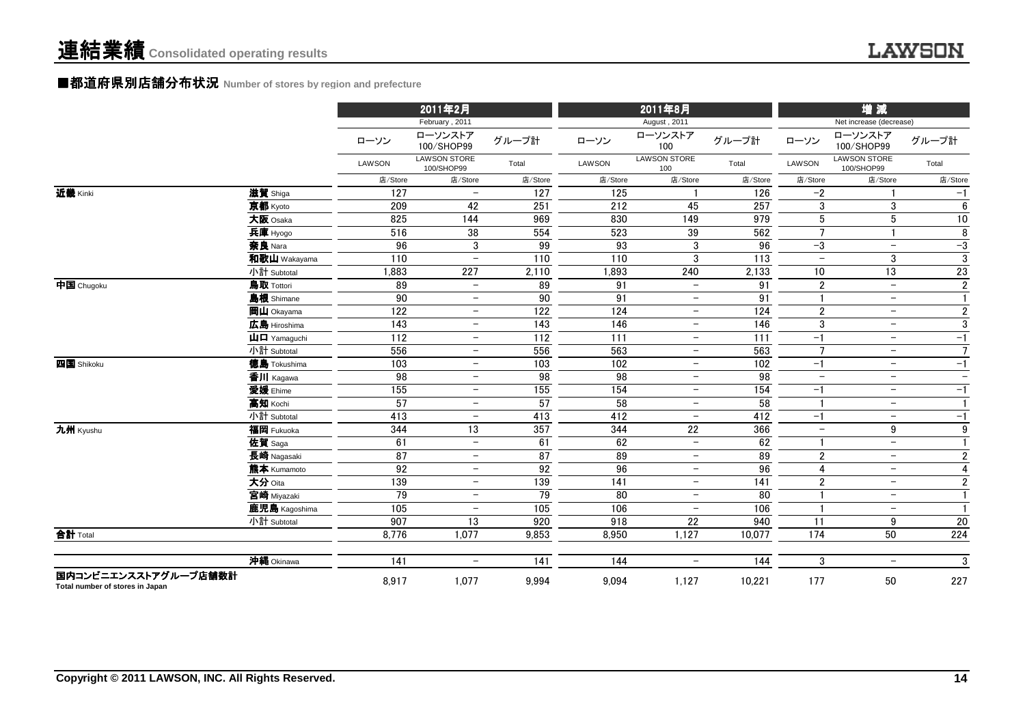#### **■都道府県別店舗分布状**況 Number of stores by region and prefecture

|                                                         |                                                         | 2011年2月         |                                   |                 | 2011年8月 |                            |                 | 增減                       |                                   |                         |
|---------------------------------------------------------|---------------------------------------------------------|-----------------|-----------------------------------|-----------------|---------|----------------------------|-----------------|--------------------------|-----------------------------------|-------------------------|
|                                                         |                                                         |                 | February, 2011                    |                 |         | August, 2011               |                 |                          | Net increase (decrease)           |                         |
|                                                         |                                                         | ローソン            | ローソンストア<br>100/SHOP99             | グループ計           | ローソン    | ローソンストア<br>100             | グループ計           | ローソン                     | ローソンストア<br>100/SHOP99             | グループ計                   |
|                                                         |                                                         | LAWSON          | <b>LAWSON STORE</b><br>100/SHOP99 | Total           | LAWSON  | <b>LAWSON STORE</b><br>100 | Total           | <b>LAWSON</b>            | <b>LAWSON STORE</b><br>100/SHOP99 | Total                   |
|                                                         |                                                         | 店/Store         | 店/Store                           | 店/Store         | 店/Store | 店/Store                    | 店/Store         | 店/Store                  | 店/Store                           | 店/Store                 |
| 近畿 Kinki                                                | 滋賀 Shiga                                                | 127             | $\overline{\phantom{0}}$          | 127             | 125     |                            | 126             | $-2$                     |                                   | $-1$                    |
|                                                         | 京都 Kyoto                                                | 209             | 42                                | 251             | 212     | 45                         | 257             | 3                        | 3                                 | $6\phantom{1}$          |
|                                                         | 大阪 Osaka                                                | 825             | 144                               | 969             | 830     | 149                        | 979             | $5\phantom{.0}$          | $\sqrt{5}$                        | $\overline{10}$         |
|                                                         | 兵庫 Hyogo                                                | 516             | 38                                | 554             | 523     | 39                         | 562             | $\overline{7}$           | $\overline{1}$                    | 8                       |
|                                                         | 奈良 Nara                                                 | 96              | 3                                 | 99              | 93      | 3                          | 96              | $-3$                     | $\overline{\phantom{0}}$          | $-3$                    |
|                                                         | 和歌山 Wakayama                                            | 110             | $\equiv$                          | 110             | 110     | 3                          | 113             | $\overline{\phantom{a}}$ | 3                                 | $\overline{3}$          |
|                                                         | 小計 Subtotal                                             | 1,883           | 227                               | 2,110           | 1,893   | 240                        | 2,133           | 10                       | 13                                | 23                      |
| $\overline{\mathbf{P}}$ $\mathbf{E}$ Chugoku            | 鳥取 Tottori                                              | 89              | $\overline{\phantom{0}}$          | 89              | 91      | $\equiv$                   | 91              | $\overline{2}$           | $\equiv$                          | $\overline{2}$          |
|                                                         | 島根 Shimane                                              | 90              | $\overline{\phantom{m}}$          | 90              | 91      | $\overline{\phantom{m}}$   | 91              |                          | $-$                               | $\mathbf{1}$            |
|                                                         | 岡山 Okayama                                              | 122             | $\overline{\phantom{m}}$          | 122             | 124     | $\overline{\phantom{m}}$   | 124             | $\boldsymbol{2}$         | $-$                               | $\sqrt{2}$              |
|                                                         | 広島 Hiroshima                                            | 143             | $\overline{\phantom{0}}$          | 143             | 146     | $\qquad \qquad -$          | 146             | $\sqrt{3}$               | $\overline{\phantom{0}}$          | $\mathbf{3}$            |
|                                                         | $\mathbf{\dot{\mathsf{\mu}}}$ $\mathbf{\Box}$ Yamaquchi | 112             | $\overline{\phantom{0}}$          | 112             | 111     | $\overline{\phantom{0}}$   | 111             | $-1$                     | $\overline{\phantom{m}}$          | $-1$                    |
|                                                         | 小計 Subtotal                                             | 556             | $\overline{\phantom{m}}$          | 556             | 563     | $\overline{\phantom{m}}$   | 563             | $\overline{7}$           | $\overline{\phantom{m}}$          | $\overline{7}$          |
| 四国 Shikoku                                              | <b>德島 Tokushima</b>                                     | 103             | $-$                               | 103             | 102     | $\qquad \qquad -$          | 102             | $-1$                     | $\overline{\phantom{m}}$          | $-1$                    |
|                                                         | 香川 Kagawa                                               | 98              | $\overline{\phantom{m}}$          | 98              | 98      | $\overline{\phantom{m}}$   | $\overline{98}$ | $\overline{\phantom{m}}$ | $\overline{\phantom{m}}$          | $-$                     |
|                                                         | 愛媛 Ehime                                                | 155             | $\overline{\phantom{0}}$          | 155             | 154     | $\overline{\phantom{0}}$   | 154             | $-1$                     | $\overline{\phantom{0}}$          | $-1$                    |
|                                                         | 高知 Kochi                                                | 57              | $\overline{\phantom{0}}$          | 57              | 58      | $\overline{\phantom{0}}$   | 58              | $\mathbf{1}$             | $\overline{\phantom{m}}$          | $\mathbf{1}$            |
|                                                         | 小計 Subtotal                                             | 413             | $\overline{\phantom{a}}$          | 413             | 412     | $\overline{\phantom{a}}$   | 412             | $-1$                     | $\overline{\phantom{m}}$          | $-1$                    |
| 九州 Kyushu                                               | 福岡 Fukuoka                                              | 344             | $\overline{13}$                   | 357             | 344     | $\overline{22}$            | 366             | $\overline{\phantom{m}}$ | 9                                 | $\overline{9}$          |
|                                                         | 佐賀 Saga                                                 | 61              | $\overline{\phantom{0}}$          | 61              | 62      | $\equiv$                   | 62              |                          | $\equiv$                          | $\mathbf{1}$            |
|                                                         | 長崎 Nagasaki                                             | $\overline{87}$ | $\overline{\phantom{0}}$          | $\overline{87}$ | 89      | $\overline{\phantom{m}}$   | 89              | $\boldsymbol{2}$         | $\overline{\phantom{m}}$          | $\sqrt{2}$              |
|                                                         | 熊本 Kumamoto                                             | 92              | $\overline{\phantom{0}}$          | 92              | 96      | $\overline{\phantom{0}}$   | 96              | $\overline{4}$           | $\overline{\phantom{0}}$          | $\overline{\mathbf{4}}$ |
|                                                         | 大分 Oita                                                 | 139             | $\overline{\phantom{m}}$          | 139             | 141     | $\overline{\phantom{m}}$   | 141             | $\boldsymbol{2}$         | $\overline{\phantom{m}}$          | $\overline{2}$          |
|                                                         | 宮崎 Miyazaki                                             | $\overline{79}$ | $\overline{\phantom{0}}$          | 79              | 80      | $\overline{\phantom{a}}$   | $\overline{80}$ |                          | $\overline{\phantom{m}}$          | $\mathbf{1}$            |
|                                                         | 鹿児島 Kagoshima                                           | 105             | $\overline{\phantom{0}}$          | 105             | 106     | $\overline{\phantom{a}}$   | 106             |                          | $-$                               | $\mathbf{1}$            |
|                                                         | 小計 Subtotal                                             | 907             | $\overline{13}$                   | 920             | 918     | $\overline{22}$            | 940             | 11                       | 9                                 | $\overline{20}$         |
| 合計 Total                                                |                                                         | 8,776           | 1,077                             | 9,853           | 8,950   | 1,127                      | 10,077          | 174                      | 50                                | 224                     |
|                                                         | 沖縄 Okinawa                                              | 141             | $\overline{\phantom{0}}$          | 141             | 144     | $\overline{\phantom{0}}$   | 144             | 3                        | $\overline{\phantom{a}}$          | 3                       |
| 国内コンビニエンスストアグループ店舗数計<br>Total number of stores in Japan |                                                         | 8,917           | 1,077                             | 9,994           | 9,094   | 1,127                      | 10,221          | 177                      | 50                                | 227                     |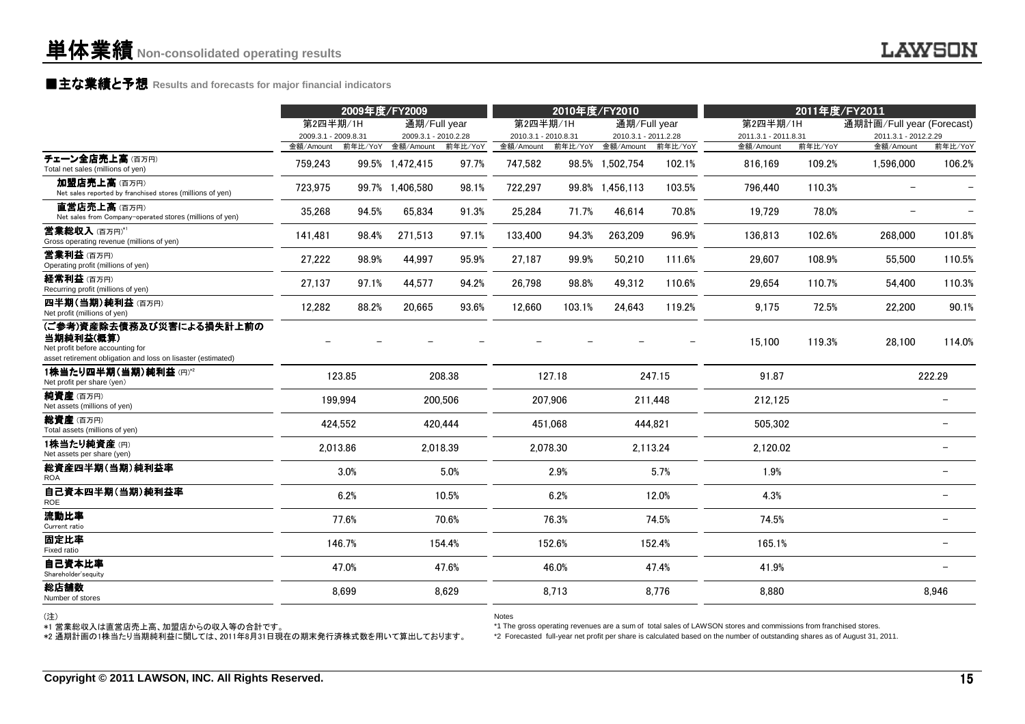### **■主な業績と予想** Results and forecasts for major financial indicators<br>
————————————————————

|                                                                                                                                           |                      | 2009年度/FY2009 |                      |          | 2010年度/FY2010        |          |                      | 2011年度/FY2011 |                      |         |                           |                          |
|-------------------------------------------------------------------------------------------------------------------------------------------|----------------------|---------------|----------------------|----------|----------------------|----------|----------------------|---------------|----------------------|---------|---------------------------|--------------------------|
|                                                                                                                                           | 第2四半期/1H             |               | 通期/Full year         |          | 第2四半期/1H             |          | 通期/Full year         |               | 第2四半期/1H             |         | 通期計画/Full year (Forecast) |                          |
|                                                                                                                                           | 2009.3.1 - 2009.8.31 |               | 2009.3.1 - 2010.2.28 |          | 2010.3.1 - 2010.8.31 |          | 2010.3.1 - 2011.2.28 |               | 2011.3.1 - 2011.8.31 |         | 2011.3.1 - 2012.2.29      |                          |
|                                                                                                                                           | 金額/Amount            | 前年比/YoY       | 金額/Amount            | 前年比/YoY  | 金額/Amount            | 前年比/YoY  | 金額/Amount            | 前年比/YoY       | 金額/Amount            | 前年比/YoY | 金額/Amount                 | 前年比/YoY                  |
| チェーン全店売上高(百万円)<br>Total net sales (millions of yen)                                                                                       | 759,243              |               | 99.5% 1,472,415      | 97.7%    | 747,582              |          | 98.5% 1,502,754      | 102.1%        | 816,169              | 109.2%  | 1,596,000                 | 106.2%                   |
| 加盟店売上高(百万円)<br>Net sales reported by franchised stores (millions of yen)                                                                  | 723,975              |               | 99.7% 1,406,580      | 98.1%    | 722,297              |          | 99.8% 1,456,113      | 103.5%        | 796.440              | 110.3%  |                           |                          |
| 直営店売上高(百万円)<br>Net sales from Company-operated stores (millions of yen)                                                                   | 35,268               | 94.5%         | 65,834               | 91.3%    | 25,284               | 71.7%    | 46,614               | 70.8%         | 19,729               | 78.0%   |                           |                          |
| 営業総収入(百万円)*1<br>Gross operating revenue (millions of yen)                                                                                 | 141,481              | 98.4%         | 271,513              | 97.1%    | 133,400              | 94.3%    | 263,209              | 96.9%         | 136,813              | 102.6%  | 268,000                   | 101.8%                   |
| <b>営業利益</b> (百万円)<br>Operating profit (millions of yen)                                                                                   | 27,222               | 98.9%         | 44,997               | 95.9%    | 27,187               | 99.9%    | 50,210               | 111.6%        | 29.607               | 108.9%  | 55,500                    | 110.5%                   |
| 経常利益 (百万円)<br>Recurring profit (millions of yen)                                                                                          | 27,137               | 97.1%         | 44,577               | 94.2%    | 26,798               | 98.8%    | 49,312               | 110.6%        | 29,654               | 110.7%  | 54,400                    | 110.3%                   |
| 四半期(当期)純利益(百万円)<br>Net profit (millions of yen)                                                                                           | 12,282               | 88.2%         | 20,665               | 93.6%    | 12,660               | 103.1%   | 24,643               | 119.2%        | 9,175                | 72.5%   | 22,200                    | 90.1%                    |
| (ご参考)資産除去債務及び災害による損失計上前の<br>当期純利益(概算)<br>Net profit before accounting for<br>asset retirement obligation and loss on lisaster (estimated) |                      |               |                      |          |                      |          |                      |               | 15.100               | 119.3%  | 28,100                    | 114.0%                   |
| 1株当たり四半期(当期)純利益(円)*2<br>Net profit per share (yen)                                                                                        |                      | 123.85        |                      | 208.38   |                      | 127.18   |                      | 247.15        | 91.87                |         |                           | 222.29                   |
| 純資産(百万円)<br>Net assets (millions of yen)                                                                                                  |                      | 199.994       |                      | 200,506  |                      | 207,906  |                      | 211,448       | 212,125              |         |                           |                          |
| 総資産(百万円)<br>Total assets (millions of yen)                                                                                                |                      | 424,552       |                      | 420,444  |                      | 451,068  |                      | 444,821       | 505,302              |         |                           |                          |
| 1株当たり純資産(円)<br>Net assets per share (yen)                                                                                                 |                      | 2,013.86      |                      | 2,018.39 |                      | 2,078.30 |                      | 2,113.24      | 2,120.02             |         |                           |                          |
| 総資産四半期(当期)純利益率<br><b>ROA</b>                                                                                                              |                      | 3.0%          |                      | 5.0%     |                      | 2.9%     |                      | 5.7%          | 1.9%                 |         |                           | $\overline{\phantom{0}}$ |
| 自己資本四半期(当期)純利益率<br><b>ROE</b>                                                                                                             |                      | 6.2%          |                      | 10.5%    |                      | 6.2%     |                      | 12.0%         | 4.3%                 |         |                           |                          |
| 流動比率<br>Current ratio                                                                                                                     |                      | 77.6%         |                      | 70.6%    |                      | 76.3%    |                      | 74.5%         | 74.5%                |         |                           |                          |
| 固定比率<br>Fixed ratio                                                                                                                       |                      | 146.7%        |                      | 154.4%   |                      | 152.6%   |                      | 152.4%        | 165.1%               |         |                           |                          |
| 自己資本比率<br>Shareholder'sequity                                                                                                             |                      | 47.0%         |                      | 47.6%    |                      | 46.0%    |                      | 47.4%         | 41.9%                |         |                           |                          |
| 総店舗数<br>Number of stores                                                                                                                  |                      | 8,699         |                      | 8,629    |                      | 8,713    |                      | 8,776         | 8,880                |         |                           | 8,946                    |
|                                                                                                                                           |                      |               |                      |          |                      |          |                      |               |                      |         |                           |                          |

(注)

Notes

\*1 The gross operating revenues are a sum of total sales of LAWSON stores and commissions from franchised stores.

\*1 営業総収入は直営店売上高、加盟店からの収入等の合計です。 \*2 通期計画の1株当たり当期純利益に関しては、2011年8月31日現在の期末発行済株式数を用いて算出しております。

\*2 Forecasted full-year net profit per share is calculated based on the number of outstanding shares as of August 31, 2011.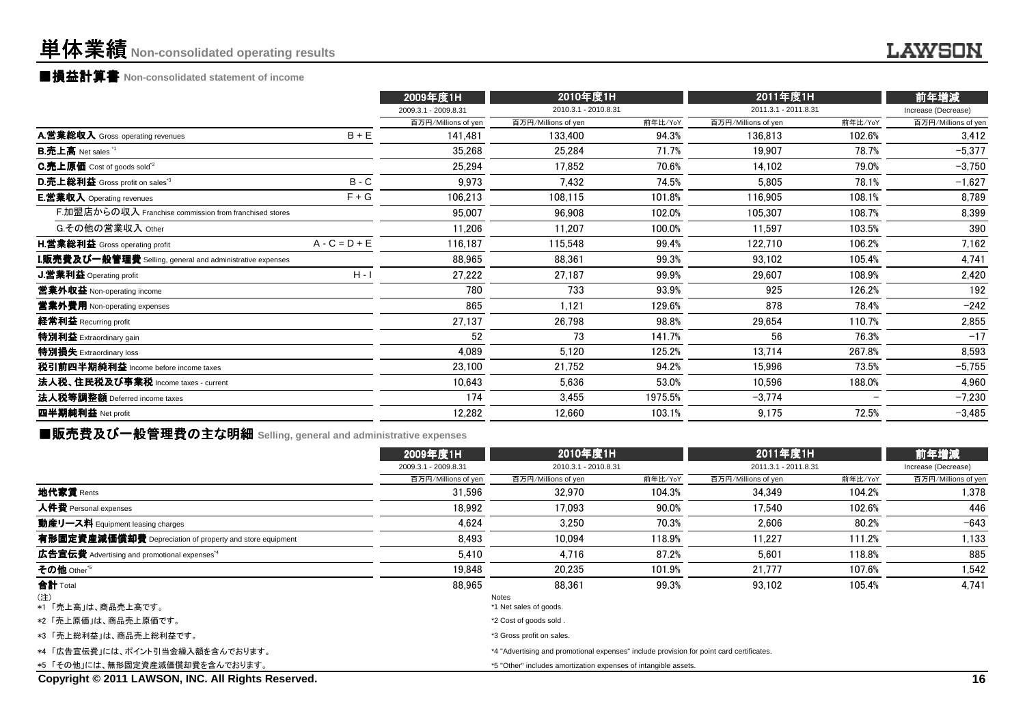### **■損益計算書 Non-consolidated statement of income**

|                                                           |                 | 2009年度1H             | 2010年度1H             |         | 2011年度1H             |         | 前年増減                |
|-----------------------------------------------------------|-----------------|----------------------|----------------------|---------|----------------------|---------|---------------------|
|                                                           |                 | 2009.3.1 - 2009.8.31 | 2010.3.1 - 2010.8.31 |         | 2011.3.1 - 2011.8.31 |         | Increase (Decrease) |
|                                                           |                 | 百万円/Millions of yen  | 百万円/Millions of yen  | 前年比/YoY | 百万円/Millions of yen  | 前年比/YoY | 百万円/Millions of yen |
| A.営業総収入 Gross operating revenues                          | $B + E$         | 141,481              | 133,400              | 94.3%   | 136,813              | 102.6%  | 3,412               |
| <b>B.売上高</b> Net sales <sup>"1</sup>                      |                 | 35,268               | 25,284               | 71.7%   | 19,907               | 78.7%   | $-5,377$            |
| C.売上原価 Cost of goods sold <sup>*2</sup>                   |                 | 25,294               | 17.852               | 70.6%   | 14,102               | 79.0%   | $-3,750$            |
| D.売上総利益 Gross profit on sales <sup>*3</sup>               | $B - C$         | 9,973                | 7,432                | 74.5%   | 5,805                | 78.1%   | $-1,627$            |
| <b>E.営業収入</b> Operating revenues                          | $F + G$         | 106,213              | 108,115              | 101.8%  | 116,905              | 108.1%  | 8,789               |
| F.加盟店からの収入 Franchise commission from franchised stores    |                 | 95,007               | 96,908               | 102.0%  | 105,307              | 108.7%  | 8,399               |
| G.その他の営業収入 Other                                          |                 | 11,206               | 11.207               | 100.0%  | 11,597               | 103.5%  | 390                 |
| H.営業総利益 Gross operating profit                            | $A - C = D + E$ | 116,187              | 115,548              | 99.4%   | 122,710              | 106.2%  | 7,162               |
| I.販売費及び一般管理費 Selling, general and administrative expenses |                 | 88.965               | 88.361               | 99.3%   | 93,102               | 105.4%  | 4,741               |
| <b>J.営業利益 Operating profit</b>                            | $H - I$         | 27,222               | 27.187               | 99.9%   | 29,607               | 108.9%  | 2,420               |
| 當業外収益 Non-operating income                                |                 | 780                  | 733                  | 93.9%   | 925                  | 126.2%  | 192                 |
| <b>営業外費用</b> Non-operating expenses                       |                 | 865                  | 1,121                | 129.6%  | 878                  | 78.4%   | $-242$              |
| 経常利益 Recurring profit                                     |                 | 27,137               | 26,798               | 98.8%   | 29,654               | 110.7%  | 2,855               |
| 特別利益 Extraordinary gain                                   |                 | 52                   | 73                   | 141.7%  | 56                   | 76.3%   | $-17$               |
| 特別損失 Extraordinary loss                                   |                 | 4,089                | 5,120                | 125.2%  | 13,714               | 267.8%  | 8,593               |
| 税引前四半期純利益 Income before income taxes                      |                 | 23,100               | 21,752               | 94.2%   | 15,996               | 73.5%   | $-5,755$            |
| 法人税、住民税及び事業税 Income taxes - current                       |                 | 10.643               | 5.636                | 53.0%   | 10,596               | 188.0%  | 4,960               |
| 法人税等調整額 Deferred income taxes                             |                 | 174                  | 3,455                | 1975.5% | $-3,774$             |         | $-7,230$            |
| 四半期純利益 Net profit                                         |                 | 12,282               | 12,660               | 103.1%  | 9,175                | 72.5%   | $-3,485$            |
|                                                           |                 |                      |                      |         |                      |         |                     |

■販売費及び一般管理費の主な明細 **Selling, general and administrative expenses**

|                                                          | 2009年度1H             | 2010年度1H                                                                                 |                      | 2011年度1H            |                      | 前年増減                |  |
|----------------------------------------------------------|----------------------|------------------------------------------------------------------------------------------|----------------------|---------------------|----------------------|---------------------|--|
|                                                          | 2009.3.1 - 2009.8.31 |                                                                                          | 2010.3.1 - 2010.8.31 |                     | 2011.3.1 - 2011.8.31 |                     |  |
|                                                          | 百万円/Millions of yen  | 百万円/Millions of yen                                                                      | 前年比/YoY              | 百万円/Millions of yen | 前年比/YoY              | 百万円/Millions of yen |  |
| 地代家賃 Rents                                               | 31.596               | 32.970                                                                                   | 104.3%               | 34.349              | 104.2%               | 1,378               |  |
| 人件費 Personal expenses                                    | 18.992               | 17.093                                                                                   | 90.0%                | 17.540              | 102.6%               | 446                 |  |
| 動産リース料 Equipment leasing charges                         | 4.624                | 3.250                                                                                    | 70.3%                | 2.606               | 80.2%                | $-643$              |  |
| 有形固定資産減価償却費 Depreciation of property and store equipment | 8.493                | 10.094                                                                                   | 118.9%               | 11.227              | 111.2%               | 1,133               |  |
| 広告宣伝費 Advertising and promotional expenses <sup>*4</sup> | 5.410                | 4.716                                                                                    | 87.2%                | 5.601               | 118.8%               | 885                 |  |
| その他 Other <sup>'5</sup>                                  | 19,848               | 20,235                                                                                   | 101.9%               | 21,777              | 107.6%               | 1,542               |  |
| 合計 Total                                                 | 88,965               | 88.361                                                                                   | 99.3%                | 93,102              | 105.4%               | 4,741               |  |
| (注)<br>*1「売上高」は、商品売上高です。                                 |                      | Notes<br>*1 Net sales of goods.                                                          |                      |                     |                      |                     |  |
| *2「売上原価」は、商品売上原価です。                                      |                      | *2 Cost of goods sold.                                                                   |                      |                     |                      |                     |  |
| *3 「売上総利益」は、商品売上総利益です。                                   |                      | *3 Gross profit on sales.                                                                |                      |                     |                      |                     |  |
| *4「広告宣伝費」には、ポイント引当金繰入額を含んでおります。                          |                      | *4 "Advertising and promotional expenses" include provision for point card certificates. |                      |                     |                      |                     |  |
| *5 「その他」には、無形固定資産減価償却費を含んでおります。                          |                      | *5 "Other" includes amortization expenses of intangible assets.                          |                      |                     |                      |                     |  |
| Copyright © 2011 LAWSON, INC. All Rights Reserved.       |                      |                                                                                          |                      |                     |                      | 16                  |  |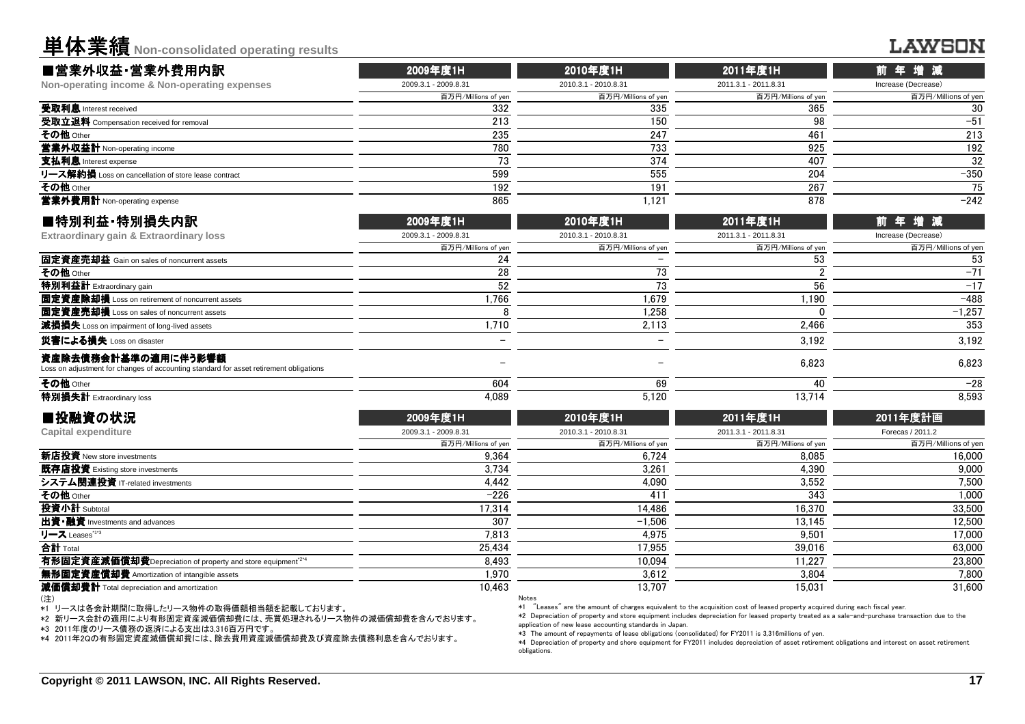単体業績**Non-consolidated operating results**

#### **LAWSON**

| ■営業外収益·営業外費用内訳                                      | 2009年度1H             | 2010年度1H             | 2011年度1H             | 前年増減                |
|-----------------------------------------------------|----------------------|----------------------|----------------------|---------------------|
| Non-operating income & Non-operating expenses       | 2009.3.1 - 2009.8.31 | 2010.3.1 - 2010.8.31 | 2011.3.1 - 2011.8.31 | Increase (Decrease) |
|                                                     | 百万円/Millions of yen  | 百万円/Millions of ven  | 百万円/Millions of yen  | 百万円/Millions of yen |
| 受取利息 Interest received                              | 332                  | 335                  | 365                  | 30                  |
| 受取立退料 Compensation received for removal             | 213                  | 150                  | 98                   | $-51$               |
| その他 Other                                           | 235                  | 247                  | 461                  | 213                 |
| 當業外収益計 Non-operating income                         | 780                  | 733                  | 925                  | 192                 |
| 支払利息 Interest expense                               |                      | 374                  | 407                  | 32                  |
| リース解約損 Loss on cancellation of store lease contract | 599                  | 555                  | 204                  | $-350$              |
| その他 Other                                           | 192                  | 191                  | 267                  | 75                  |
| 當業外費用計 Non-operating expense                        | 865                  | 1.121                | 878                  | $-242$              |
|                                                     |                      |                      |                      |                     |

| ■特別利益·特別損失内訳                                                                                                  | 2009年度1H             | 2010年度1H             | 2011年度1H             | 前年増減                |  |
|---------------------------------------------------------------------------------------------------------------|----------------------|----------------------|----------------------|---------------------|--|
| Extraordinary gain & Extraordinary loss                                                                       | 2009.3.1 - 2009.8.31 | 2010.3.1 - 2010.8.31 | 2011.3.1 - 2011.8.31 | Increase (Decrease) |  |
|                                                                                                               | 百万円/Millions of yen  | 百万円/Millions of yen  | 百万円/Millions of yen  | 百万円/Millions of yen |  |
| 固定資産売却益 Gain on sales of noncurrent assets                                                                    | 24                   |                      | 53                   | 53                  |  |
| その他 Other                                                                                                     | 28                   |                      |                      | $-71$               |  |
| 特別利益計 Extraordinary gain                                                                                      | 52                   |                      | 56                   | $-17$               |  |
| 固定資産除却損 Loss on retirement of noncurrent assets                                                               | 1.766                | 1.679                | 1.190                | $-488$              |  |
| 固定資産売却損 Loss on sales of noncurrent assets                                                                    |                      | 1.258                |                      | $-1.257$            |  |
| 減損損失 Loss on impairment of long-lived assets                                                                  | 1.710                | 2.113                | 2.466                | 353                 |  |
| 災害による損失 Loss on disaster                                                                                      |                      |                      | 3.192                | 3.192               |  |
| 資産除去債務会計基準の適用に伴う影響額<br>Loss on adjustment for changes of accounting standard for asset retirement obligations |                      |                      | 6.823                | 6.823               |  |
| その他 Other                                                                                                     | 604                  | 69                   | 40                   | $-28$               |  |
| 特別損失計 Extraordinary loss                                                                                      | 4.089                | 5.120                | 13.714               | 8.593               |  |
|                                                                                                               |                      |                      |                      |                     |  |

| ■投融資の状況                                                                | 2009年度1H             | 2010年度1H             | 2011年度1H             | 2011年度計画            |  |
|------------------------------------------------------------------------|----------------------|----------------------|----------------------|---------------------|--|
| Capital expenditure                                                    | 2009.3.1 - 2009.8.31 | 2010.3.1 - 2010.8.31 | 2011.3.1 - 2011.8.31 | Forecas / 2011.2    |  |
|                                                                        | 百万円/Millions of yen  | 百万円/Millions of yen  | 百万円/Millions of yen  | 百万円/Millions of yen |  |
| <b>新店投資</b> New store investments                                      | 9.364                | 6.724                | 8.085                | 16,000              |  |
| 既存店投資 Existing store investments                                       | 3.734                | 3.261                | 4.390                | 9.000               |  |
| システム関連投資 IT-related investments                                        | 4.442                | 4.090                | 3.552                | 7.500               |  |
| その他 Other                                                              | $-226$               | 411                  | 343                  | 1,000               |  |
| 投資小計 Subtotal                                                          | 17.314               | 14.486               | 16.370               | 33,500              |  |
| 出資·融資 Investments and advances                                         | 307                  | $-1.506$             | 13.145               | 12.500              |  |
| リース Leases <sup>113</sup>                                              | 7,813                | 4,975                | 9,501                | 17,000              |  |
| 合計 Total                                                               | 25.434               | 17.955               | 39.016               | 63,000              |  |
| 有形固定資産減価償却費Depreciation of property and store equipment <sup>224</sup> | 8.493                | 10.094               | 11.227               | 23,800              |  |
| 無形固定資産償却費 Amortization of intangible assets                            | 1.970                | 3.612                | 3.804                | 7,800               |  |
| 減価償却費計 Total depreciation and amortization                             | 10.463               | 13,707               | 15.031               | 31,600              |  |
| (注)                                                                    | Notes                |                      |                      |                     |  |

(注)

■投融資の状況

\*1 リースは各会計期間に取得したリース物件の取得価額相当額を記載しております。

\*2 新リース会計の適用により有形固定資産減価償却費には、売買処理されるリース物件の減価償却費を含んでおります。

\*3 2011年度のリース債務の返済による支出は3,316百万円です。

\*4 2011年2Qの有形固定資産減価償却費には、除去費用資産減価償却費及び資産除去債務利息を含んでおります。

Notes

\*1 "Leases" are the amount of charges equivalent to the acquisition cost of leased property acquired during each fiscal year.

 \*2 Depreciation of property and store equipment includes depreciation for leased property treated as a sale-and-purchase transaction due to theapplication of new lease accounting standards in Japan.

\*3 The amount of repayments of lease obligations (consolidated) for FY2011 is 3,316millions of yen.

 \*4 Depreciation of property and shore equipment for FY2011 includes depreciation of asset retirement obligations and interest on asset retirementobligations.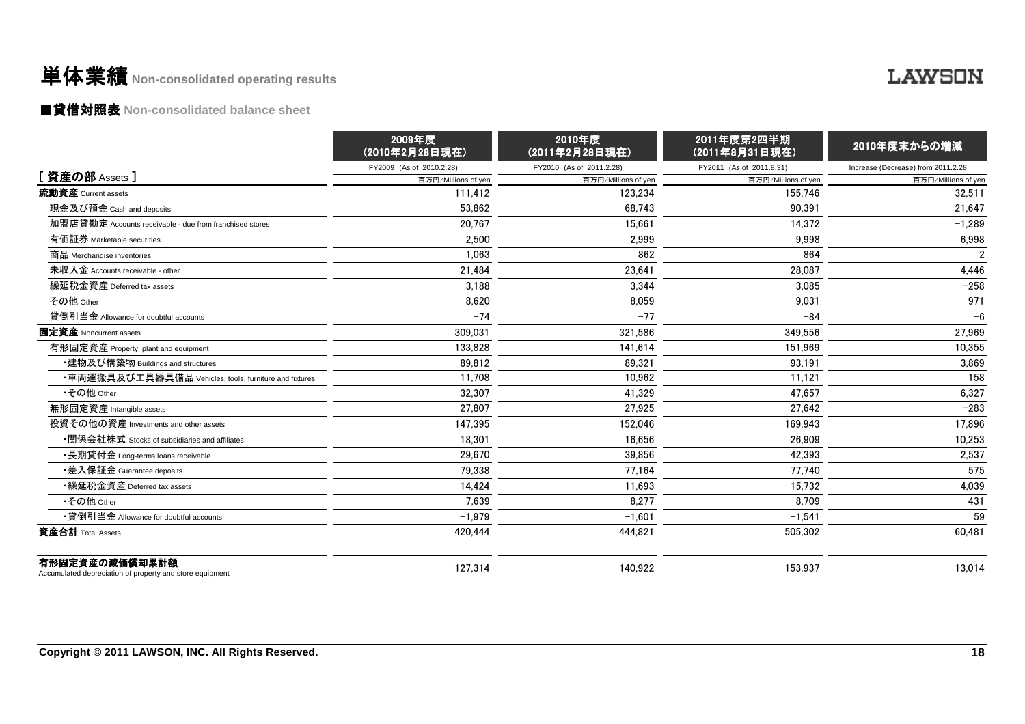### 単体業績**Non-consolidated operating results**

### ■貸借対照表 **Non-consolidated balance sheet**

|                                                                            | 2009年度<br>(2010年2月28日現在) | 2010年度<br>(2011年2月28日現在) | 2011年度第2四半期<br>(2011年8月31日現在) | 2010年度末からの増減                       |
|----------------------------------------------------------------------------|--------------------------|--------------------------|-------------------------------|------------------------------------|
|                                                                            | FY2009 (As of 2010.2.28) | FY2010 (As of 2011.2.28) | FY2011 (As of 2011.8.31)      | Increase (Decrease) from 2011.2.28 |
| [資産の部 Assets]                                                              | 百万円/Millions of yen      | 百万円/Millions of yen      | 百万円/Millions of yen           | 百万円/Millions of yen                |
| 流動資産 Current assets                                                        | 111.412                  | 123.234                  | 155.746                       | 32.511                             |
| 現金及び預金 Cash and deposits                                                   | 53,862                   | 68.743                   | 90,391                        | 21,647                             |
| 加盟店貸勘定 Accounts receivable - due from franchised stores                    | 20,767                   | 15.661                   | 14,372                        | $-1,289$                           |
| 有価証券 Marketable securities                                                 | 2,500                    | 2,999                    | 9,998                         | 6,998                              |
| 商品 Merchandise inventories                                                 | 1,063                    | 862                      | 864                           | $\overline{2}$                     |
| 未収入金 Accounts receivable - other                                           | 21,484                   | 23,641                   | 28,087                        | 4,446                              |
| 繰延税金資産 Deferred tax assets                                                 | 3,188                    | 3,344                    | 3,085                         | $-258$                             |
| その他 Other                                                                  | 8,620                    | 8,059                    | 9,031                         | 971                                |
| 貸倒引当金 Allowance for doubtful accounts                                      | $-74$                    | $-77$                    | $-84$                         | $-6$                               |
| 固定資産 Noncurrent assets                                                     | 309,031                  | 321,586                  | 349,556                       | 27,969                             |
| 有形固定資産 Property, plant and equipment                                       | 133,828                  | 141,614                  | 151,969                       | 10,355                             |
| ・建物及び構築物 Buildings and structures                                          | 89,812                   | 89,321                   | 93.191                        | 3,869                              |
| ・車両運搬具及び工具器具備品 Vehicles, tools, furniture and fixtures                     | 11,708                   | 10.962                   | 11,121                        | 158                                |
| •その他 Other                                                                 | 32,307                   | 41,329                   | 47,657                        | 6,327                              |
| 無形固定資産 Intangible assets                                                   | 27.807                   | 27.925                   | 27.642                        | $-283$                             |
| 投資その他の資産 Investments and other assets                                      | 147,395                  | 152,046                  | 169,943                       | 17,896                             |
| •関係会社株式 Stocks of subsidiaries and affiliates                              | 18.301                   | 16.656                   | 26.909                        | 10,253                             |
| •長期貸付金 Long-terms loans receivable                                         | 29,670                   | 39,856                   | 42,393                        | 2,537                              |
| •差入保証金 Guarantee deposits                                                  | 79.338                   | 77.164                   | 77.740                        | 575                                |
| •繰延税金資産 Deferred tax assets                                                | 14.424                   | 11.693                   | 15,732                        | 4,039                              |
| •その他 Other                                                                 | 7,639                    | 8,277                    | 8.709                         | 431                                |
| •貸倒引当金 Allowance for doubtful accounts                                     | $-1,979$                 | $-1.601$                 | $-1,541$                      | 59                                 |
| 資産合計 Total Assets                                                          | 420,444                  | 444,821                  | 505,302                       | 60,481                             |
| 有形固定資産の減価償却累計額<br>Accumulated depreciation of property and store equipment | 127,314                  | 140.922                  | 153.937                       | 13,014                             |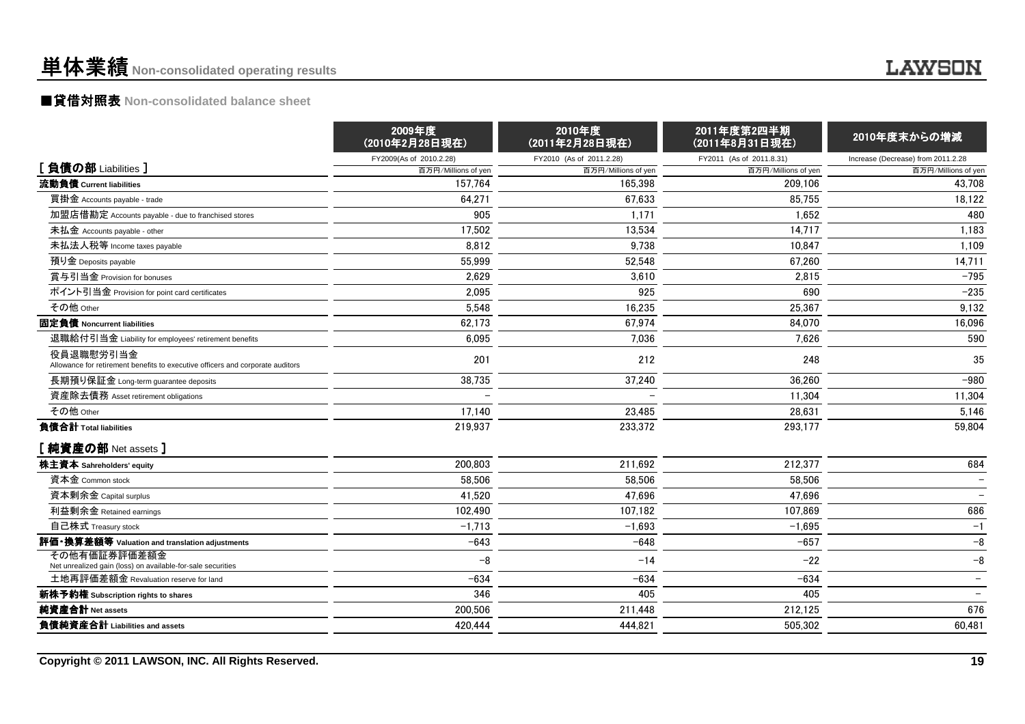### 単体業績**Non-consolidated operating results**

### ■貸借対照表 **Non-consolidated balance sheet**

|                                                                                             | 2009年度<br>(2010年2月28日現在) | 2010年度<br>(2011年2月28日現在) | 2011年度第2四半期<br>(2011年8月31日現在) | 2010年度末からの増減                       |  |
|---------------------------------------------------------------------------------------------|--------------------------|--------------------------|-------------------------------|------------------------------------|--|
|                                                                                             | FY2009(As of 2010.2.28)  | FY2010 (As of 2011.2.28) | FY2011 (As of 2011.8.31)      | Increase (Decrease) from 2011.2.28 |  |
| [負債の部 Liabilities ]                                                                         | 百万円/Millions of yen      | 百万円/Millions of yen      | 百万円/Millions of yen           | 百万円/Millions of yen                |  |
| 流動負債 Current liabilities                                                                    | 157.764                  | 165,398                  | 209,106                       | 43,708                             |  |
| 買掛金 Accounts payable - trade                                                                | 64,271                   | 67,633                   | 85,755                        | 18,122                             |  |
| 加盟店借勘定 Accounts payable - due to franchised stores                                          | 905                      | 1,171                    | 1,652                         | 480                                |  |
| 未払金 Accounts payable - other                                                                | 17,502                   | 13,534                   | 14,717                        | 1,183                              |  |
| 未払法人税等 Income taxes payable                                                                 | 8.812                    | 9,738                    | 10.847                        | 1,109                              |  |
| 預り金 Deposits payable                                                                        | 55.999                   | 52,548                   | 67,260                        | 14,711                             |  |
| 賞与引当金 Provision for bonuses                                                                 | 2,629                    | 3,610                    | 2,815                         | $-795$                             |  |
| ポイント引当金 Provision for point card certificates                                               | 2,095                    | 925                      | 690                           | $-235$                             |  |
| その他 Other                                                                                   | 5,548                    | 16,235                   | 25,367                        | 9,132                              |  |
| 固定負債 Noncurrent liabilities                                                                 | 62,173                   | 67,974                   | 84,070                        | 16,096                             |  |
| 退職給付引当金 Liability for employees' retirement benefits                                        | 6,095                    | 7,036                    | 7.626                         | 590                                |  |
| 役員退職慰労引当金<br>Allowance for retirement benefits to executive officers and corporate auditors | 201                      | 212                      | 248                           | 35                                 |  |
| 長期預り保証金 Long-term guarantee deposits                                                        | 38,735                   | 37,240                   | 36.260                        | $-980$                             |  |
| 資産除去債務 Asset retirement obligations                                                         |                          |                          | 11,304                        | 11,304                             |  |
| その他 Other                                                                                   | 17,140                   | 23,485                   | 28,631                        | 5,146                              |  |
| 負債合計 Total liabilities                                                                      | 219,937                  | 233,372                  | 293,177                       | 59,804                             |  |
| [ 純資産の部 Net assets ]                                                                        |                          |                          |                               |                                    |  |
| 株主資本 Sahreholders' equity                                                                   | 200,803                  | 211,692                  | 212,377                       | 684                                |  |
| 資本金 Common stock                                                                            | 58.506                   | 58,506                   | 58,506                        |                                    |  |
| 資本剰余金 Capital surplus                                                                       | 41,520                   | 47,696                   | 47,696                        |                                    |  |
| 利益剰余金 Retained earnings                                                                     | 102,490                  | 107.182                  | 107,869                       | 686                                |  |
| 自己株式 Treasury stock                                                                         | $-1,713$                 | $-1,693$                 | $-1,695$                      | $-1$                               |  |
| 評価・換算差額等 Valuation and translation adjustments                                              | $-643$                   | $-648$                   | $-657$                        | $-8$                               |  |
| その他有価証券評価差額金<br>Net unrealized gain (loss) on available-for-sale securities                 | $-8$                     | $-14$                    | $-22$                         | $-8$                               |  |
| 土地再評価差額金 Revaluation reserve for land                                                       | $-634$                   | $-634$                   | $-634$                        |                                    |  |
| 新株予約権 Subscription rights to shares                                                         | 346                      | 405                      | 405                           |                                    |  |
| 純資産合計 Net assets                                                                            | 200,506                  | 211,448                  | 212,125                       | 676                                |  |
| 負債純資産合計 Liabilities and assets                                                              | 420.444                  | 444.821                  | 505.302                       | 60.481                             |  |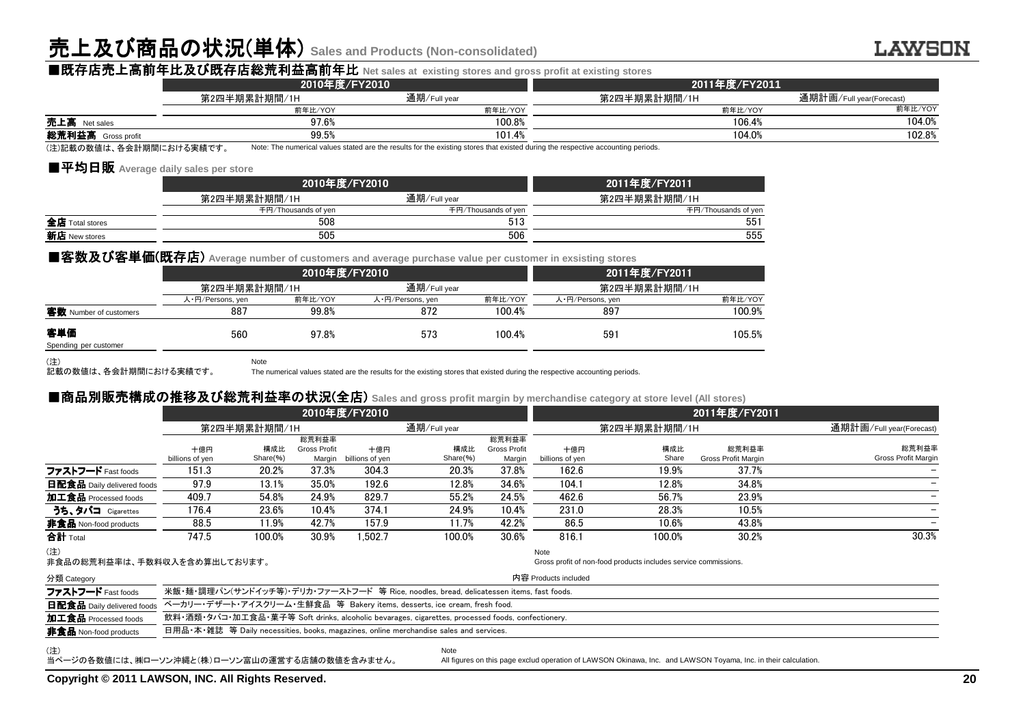## 売上及び商品の状況(単体) **Sales and Products (Non-consolidated)**

Note

| ■既存店売上高前年比及び既存店総荒利益高前年比 Net sales at existing stores and gross profit at existing stores |               |                                                                                                                                  |               |                          |  |  |  |
|------------------------------------------------------------------------------------------|---------------|----------------------------------------------------------------------------------------------------------------------------------|---------------|--------------------------|--|--|--|
|                                                                                          | 2010年度/FY2010 |                                                                                                                                  | 2011年度/FY2011 |                          |  |  |  |
|                                                                                          | 第2四半期累計期間/1H  | 通期/Full year                                                                                                                     | 第2四半期累計期間/1H  | 通期計画/Full year(Forecast) |  |  |  |
|                                                                                          | 前年比/YOY       | 前年比/YOY                                                                                                                          | 前年比/YOY       | 前年比/YOY                  |  |  |  |
| <b>売上高</b> Net sales                                                                     | 97.6%         | 100.8%                                                                                                                           | 106.4%        | 104.0%                   |  |  |  |
| 総荒利益高 Gross profit                                                                       | 99.5%         | 101.4%                                                                                                                           | 104.0%        | 102.8%                   |  |  |  |
| (注)記載の数値は、各会計期間における実績です。                                                                 |               | Note: The numerical values stated are the results for the existing stores that existed during the respective accounting periods. |               |                          |  |  |  |

(注)記載の数値は、各会計期間における実績です。

#### ■平均日販 Average daily sales per store<br>□

|                 | 2010年度/FY2010       | 2011年度/FY2011       |                     |
|-----------------|---------------------|---------------------|---------------------|
|                 | 第2四半期累計期間/1H        | 通期/Full year        | 第2四半期累計期間/1H        |
|                 | 千円/Thousands of yen | 千円/Thousands of yen | 千円/Thousands of yen |
| 全店 Total stores | 508                 | 513                 | 551                 |
| 新店 New stores   | 505                 | 506                 | 555                 |

#### ■客数及び客単価(既存店) Average number of customers and average purchase value per customer in exsisting stores

|                              |                  | 2010年度/FY2010 | 2011年度/FY2011    |         |                  |         |
|------------------------------|------------------|---------------|------------------|---------|------------------|---------|
|                              | 第2四半期累計期間/1H     |               | 通期/Full year     |         | 第2四半期累計期間/1H     |         |
|                              | 人·円/Persons, yen | 前年比/YOY       | 人・円/Persons, yen | 前年比/YOY | 人·円/Persons, yen | 前年比/YOY |
| 客数 Number of customers       | 887              | 99.8%         | 872              | 100.4%  | 897              | 100.9%  |
| 客単価<br>Spending per customer | 560              | 97.8%         | 573              | 100.4%  | 59 <sup>1</sup>  | 105.5%  |

(注) 記載の数値は、各会計期間における実績です。

The numerical values stated are the results for the existing stores that existed during the respective accounting periods.

#### ■商品別販売構成 ■商品別販売構成の推移及び総荒利益率の状況(全店) **Sales and gross profit margin by merchandise category at store level (All stores)**

|                                                      | 2010年度/FY2010                                                                                    |                 |                               |                        | 2011年度/FY2011                                                                           |                               |                        |                                                                                                                 |                              |                              |
|------------------------------------------------------|--------------------------------------------------------------------------------------------------|-----------------|-------------------------------|------------------------|-----------------------------------------------------------------------------------------|-------------------------------|------------------------|-----------------------------------------------------------------------------------------------------------------|------------------------------|------------------------------|
|                                                      | 第2四半期累計期間/1H                                                                                     |                 |                               |                        | 通期/Full year                                                                            |                               | 第2四半期累計期間/1H           |                                                                                                                 |                              | 通期計画/Full year(Forecast)     |
|                                                      |                                                                                                  |                 | 総荒利益率                         |                        |                                                                                         | 総荒利益率                         |                        |                                                                                                                 |                              |                              |
|                                                      | 十億円<br>billions of yen                                                                           | 構成比<br>Share(%) | <b>Gross Profit</b><br>Margin | 十億円<br>billions of yen | 構成比<br>Share(%)                                                                         | <b>Gross Profit</b><br>Margin | 十億円<br>billions of yen | 構成比<br>Share                                                                                                    | 総荒利益率<br>Gross Profit Margin | 総荒利益率<br>Gross Profit Margin |
| ファストフード Fast foods                                   | 151.3                                                                                            | 20.2%           | 37.3%                         | 304.3                  | 20.3%                                                                                   | 37.8%                         | 162.6                  | 19.9%                                                                                                           | 37.7%                        |                              |
| <b>日配食品</b> Daily delivered foods                    | 97.9                                                                                             | 13.1%           | 35.0%                         | 192.6                  | 12.8%                                                                                   | 34.6%                         | 104.1                  | 12.8%                                                                                                           | 34.8%                        |                              |
| 加工食品 Processed foods                                 | 409.7                                                                                            | 54.8%           | 24.9%                         | 829.7                  | 55.2%                                                                                   | 24.5%                         | 462.6                  | 56.7%                                                                                                           | 23.9%                        |                              |
| うち、タバコ Cigarettes                                    | 176.4                                                                                            | 23.6%           | 10.4%                         | 374.1                  | 24.9%                                                                                   | 10.4%                         | 231.0                  | 28.3%                                                                                                           | 10.5%                        |                              |
| 非食品 Non-food products                                | 88.5                                                                                             | 11.9%           | 42.7%                         | 157.9                  | 11.7%                                                                                   | 42.2%                         | 86.5                   | 10.6%                                                                                                           | 43.8%                        |                              |
| 合計 Total                                             | 747.5                                                                                            | 100.0%          | 30.9%                         | 1.502.7                | 100.0%                                                                                  | 30.6%                         | 816.1                  | 100.0%                                                                                                          | 30.2%                        | 30.3%                        |
| (注)<br>非食品の総荒利益率は、手数料収入を含め算出しております。                  |                                                                                                  |                 |                               |                        |                                                                                         |                               | Note                   | Gross profit of non-food products includes service commissions.                                                 |                              |                              |
| 分類 Category                                          |                                                                                                  |                 |                               |                        |                                                                                         |                               | 内容 Products included   |                                                                                                                 |                              |                              |
| ファストフード Fast foods                                   |                                                                                                  |                 |                               |                        | 米飯・麺・調理パン(サンドイッチ等)・デリカ・ファーストフード 等 Rice, noodles, bread, delicatessen items, fast foods. |                               |                        |                                                                                                                 |                              |                              |
| 日配食品 Daily delivered foods                           |                                                                                                  |                 |                               |                        | ベーカリー・デザート・アイスクリーム・生鮮食品 等 Bakery items, desserts, ice cream, fresh food.                |                               |                        |                                                                                                                 |                              |                              |
| 加工食品 Processed foods                                 | 飲料・酒類・タバコ・加工食品・菓子等 Soft drinks, alcoholic bevarages, cigarettes, processed foods, confectionery. |                 |                               |                        |                                                                                         |                               |                        |                                                                                                                 |                              |                              |
| <b>非食品</b> Non-food products                         |                                                                                                  |                 |                               |                        | 日用品•本•雜誌 等 Daily necessities, books, magazines, online merchandise sales and services.  |                               |                        |                                                                                                                 |                              |                              |
| (注)<br>当ページの各数値には、㈱ローソン沖縄と(株)ローソン富山の運営する店舗の数値を含みません。 |                                                                                                  |                 |                               |                        | Note                                                                                    |                               |                        | All figures on this page exclud operation of LAWSON Okinawa, Inc. and LAWSON Toyama, Inc. in their calculation. |                              |                              |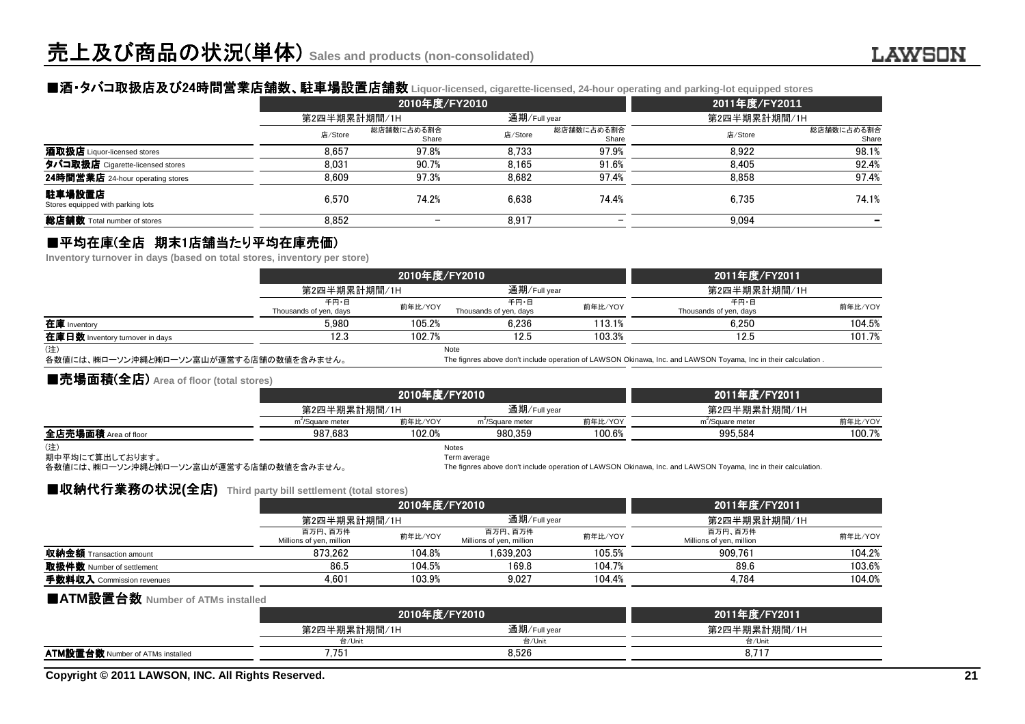### ■酒・タバコ取扱店及び24時間営業店舗数 時間営業店舗数、駐車場設置店舗数 、駐車場設置店舗数 **Liquor-licensed, cigarette-licensed, 24-hour operating and parking-lot equipped stores**

|                                             |              | 2010年度/FY2010            | 2011年度/FY2011 |                     |              |                     |
|---------------------------------------------|--------------|--------------------------|---------------|---------------------|--------------|---------------------|
|                                             | 第2四半期累計期間/1H |                          | 通期/Full year  |                     | 第2四半期累計期間/1H |                     |
|                                             | 店/Store      | 総店舗数に占める割合<br>Share      | 店/Store       | 総店舗数に占める割合<br>Share | 店/Store      | 総店舗数に占める割合<br>Share |
| 酒取扱店 Liquor-licensed stores                 | 8.657        | 97.8%                    | 8.733         | 97.9%               | 8.922        | 98.1%               |
| タバコ取扱店 Cigarette-licensed stores            | 8.031        | 90.7%                    | 8.165         | 91.6%               | 8.405        | 92.4%               |
| 24時間営業店 24-hour operating stores            | 8.609        | 97.3%                    | 8.682         | 97.4%               | 8.858        | 97.4%               |
| 駐車場設置店<br>Stores equipped with parking lots | 6.570        | 74.2%                    | 6.638         | 74.4%               | 6.735        | 74.1%               |
| 総店舗数 Total number of stores                 | 8,852        | $\overline{\phantom{m}}$ | 8,917         |                     | 9,094        |                     |

### ■平均在庫(全店 期末1店舗当たり平均在庫売価)<br>Inventory turnover in davs (based on total stores, inventory per

**Inventory turnover in days (based on total stores, inventory per store)**

|                                 |                                | 2010年度/FY2010 |                                | 2011年度/FY2011 |                                |         |
|---------------------------------|--------------------------------|---------------|--------------------------------|---------------|--------------------------------|---------|
|                                 | 第2四半期累計期間/1H                   |               | 通期/Full year                   |               | 第2四半期累計期間/1H                   |         |
|                                 | 千円・日<br>Thousands of yen, days | 前年比/YOY       | 千円・日<br>Thousands of yen, days | 前年比/YOY       | 千円・日<br>Thousands of yen, days | 前年比/YOY |
| 在庫 Inventory                    | 5.980                          | 105.2%        | 6.236                          | 113.1%        | 6.250                          | 104.5%  |
| 在庫日数 Inventory turnover in days | 12.3                           | 102.7%        | 12.5                           | 103.3%        | 12.5                           | 101.7%  |
| (注)                             |                                |               | Note                           |               |                                |         |

(注)

各数値には、㈱ローソン沖縄と㈱ローソン富山が運営する店舗の数値を含みません。

The fignres above don't include operation of LAWSON Okinawa, Inc. and LAWSON Toyama, Inc in their calculation .

#### ■売場面積(全店) **Area of floor (total stores)**

| ___________          |                              |               |                              |                               |                              |         |
|----------------------|------------------------------|---------------|------------------------------|-------------------------------|------------------------------|---------|
|                      |                              | 2010年度/FY2010 |                              | 2011年度/FY2011<br>第2四半期累計期間/1H |                              |         |
|                      | 第2四半期累計期間/1H                 |               | 通期/Full year                 |                               |                              |         |
|                      | m <sup>-</sup> /Square meter | 前年比/YOY       | m <sup>2</sup> /Square meter | 前年比/YOY                       | m <sup>2</sup> /Square meter | 前年比/YOY |
| 全店売場面積 Area of floor | 987.683                      | 102.0%        | 980.359                      | 100.6%                        | 995.584                      | 100.7%  |
| (注)                  |                              | Notes         |                              |                               |                              |         |

(注)

期中平均にて算出しております。

各数値には、㈱ローソン沖縄と㈱ローソン富山が運営する店舗の数値を含みません。

Term average

The fignres above don't include operation of LAWSON Okinawa, Inc. and LAWSON Toyama, Inc in their calculation.

#### ■収納代行業務の状況(全店) Third party bill settlement (total stores)<br>*v*a

|                                |                                     | 2010年度/FY2010 |                                     |         | 2011年度/FY2011                       |         |
|--------------------------------|-------------------------------------|---------------|-------------------------------------|---------|-------------------------------------|---------|
|                                | 第2四半期累計期間/1H                        |               | 通期/Full year                        |         | 第2四半期累計期間/1H                        |         |
|                                | 百万円、百万件<br>Millions of yen, million | 前年比/YOY       | 百万円、百万件<br>Millions of yen, million | 前年比/YOY | 百万円、百万件<br>Millions of yen, million | 前年比/YOY |
| <b>収納金額</b> Transaction amount | 873.262                             | 104.8%        | .639.203                            | 105.5%  | 909.761                             | 104.2%  |
| 取扱件数 Number of settlement      | 86.5                                | 104.5%        | 169.8                               | 104.7%  | 89.6                                | 103.6%  |
| 手数料収入 Commission revenues      | 4.601                               | 103.9%        | 9.027                               | 104.4%  | 4.784                               | 104.0%  |
|                                |                                     |               |                                     |         |                                     |         |

### ■**ATM**設置台数 **Number of ATMs installed**

|                                         | 2010年度/FY2010 |              | 2011年度/FY2011 |
|-----------------------------------------|---------------|--------------|---------------|
|                                         | 第2四半期累計期間/1H  | 通期/Full year | 第2四半期累計期間/1H  |
|                                         | 台/Unit        | 台/Unit       | 台/Unit        |
| <b>ATM設置台数</b> Number of ATMs installed | '.75          | 8.526        |               |
|                                         |               |              |               |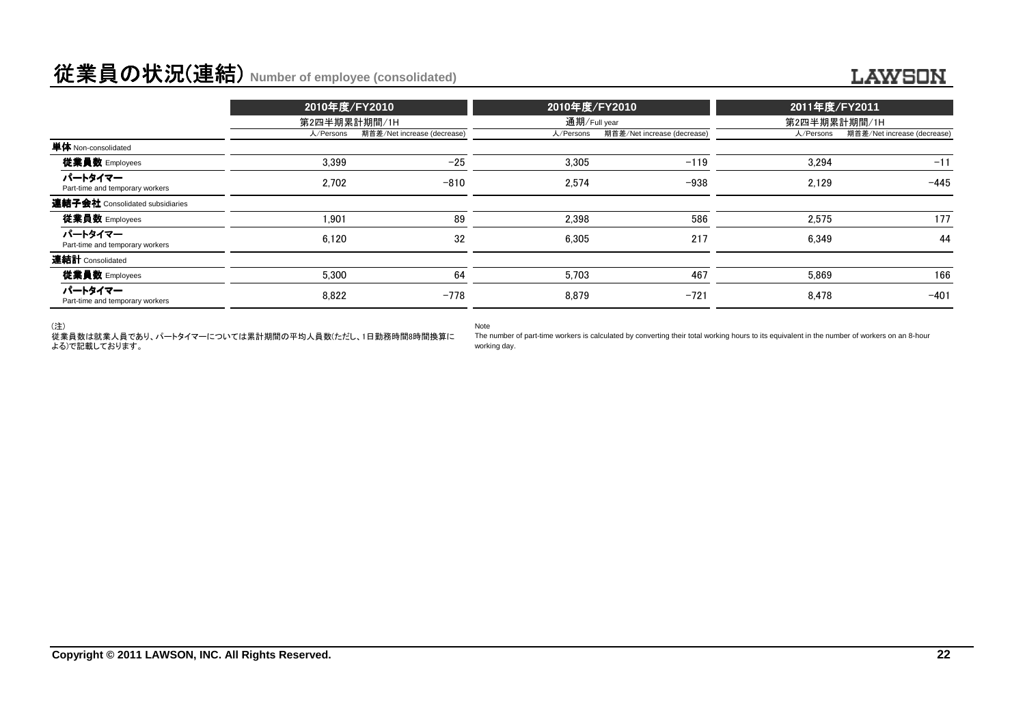### 従業員の状況(連結) **Number of employee (consolidated)**

|                                            | 2010年度/FY2010<br>第2四半期累計期間/1H |                             |              | 2010年度/FY2010               |              | 2011年度/FY2011               |  |
|--------------------------------------------|-------------------------------|-----------------------------|--------------|-----------------------------|--------------|-----------------------------|--|
|                                            |                               |                             | 通期/Full year |                             | 第2四半期累計期間/1H |                             |  |
|                                            | 人/Persons                     | 期首差/Net increase (decrease) | 人/Persons    | 期首差/Net increase (decrease) | 人/Persons    | 期首差/Net increase (decrease) |  |
| 単体 Non-consolidated                        |                               |                             |              |                             |              |                             |  |
| 従業員数 Employees                             | 3.399                         | $-25$                       | 3.305        | $-119$                      | 3.294        | $-11$                       |  |
| パートタイマー<br>Part-time and temporary workers | 2.702                         | $-810$                      | 2.574        | $-938$                      | 2.129        | $-445$                      |  |
| 連結子会社 Consolidated subsidiaries            |                               |                             |              |                             |              |                             |  |
| 従業員数 Employees                             | 1.901                         | 89                          | 2.398        | 586                         | 2.575        | 177                         |  |
| パートタイマー<br>Part-time and temporary workers | 6,120                         | 32                          | 6.305        | 217                         | 6.349        | 44                          |  |
| 連結計 Consolidated                           |                               |                             |              |                             |              |                             |  |
| 従業員数 Employees                             | 5.300                         | 64                          | 5.703        | 467                         | 5.869        | 166                         |  |
| パートタイマー<br>Part-time and temporary workers | 8.822                         | $-778$                      | 8.879        | $-721$                      | 8.478        | $-401$                      |  |

(注)

 従業員数は就業人員であり、パートタイマーについては累計期間の平均人員数(ただし、1日勤務時間8時間換算による)で記載しております。

Note

 The number of part-time workers is calculated by converting their total working hours to its equivalent in the number of workers on an 8-hourworking day.